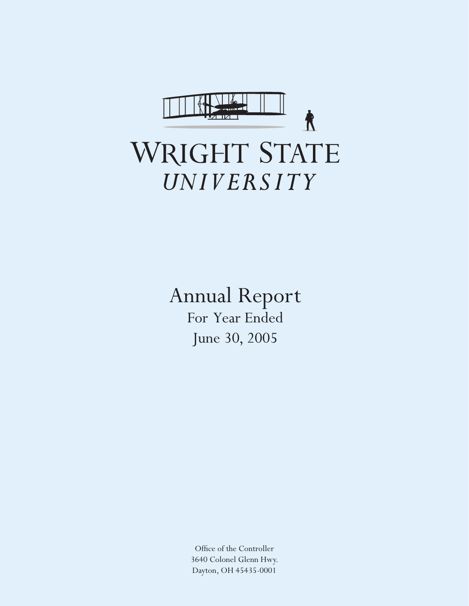

Annual Report For Year Ended June 30, 2005

> Office of the Controller 3640 Colonel Glenn Hwy. Dayton, OH 45435-0001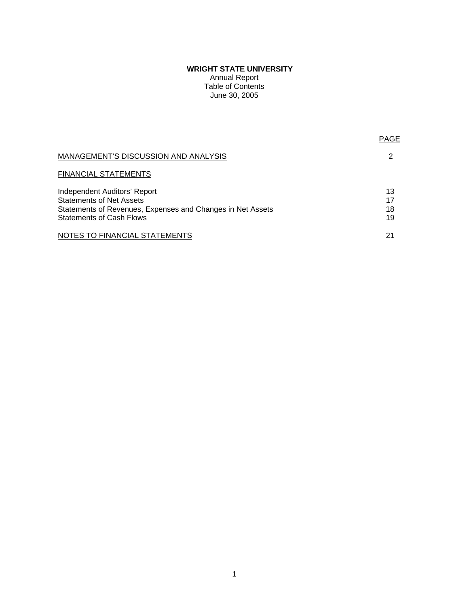# **WRIGHT STATE UNIVERSITY**

Annual Report Table of Contents June 30, 2005

| MANAGEMENT'S DISCUSSION AND ANALYSIS                                                                                                                                    |                      |
|-------------------------------------------------------------------------------------------------------------------------------------------------------------------------|----------------------|
| FINANCIAL STATEMENTS                                                                                                                                                    |                      |
| <b>Independent Auditors' Report</b><br><b>Statements of Net Assets</b><br>Statements of Revenues, Expenses and Changes in Net Assets<br><b>Statements of Cash Flows</b> | 13<br>17<br>18<br>19 |
| NOTES TO FINANCIAL STATEMENTS                                                                                                                                           | 21                   |

PAGE AND RESERVE THE RESERVE TO A RESERVE THE RESERVE TO A RESERVE THE RESERVE TO A RESERVE THE RESERVE TO A R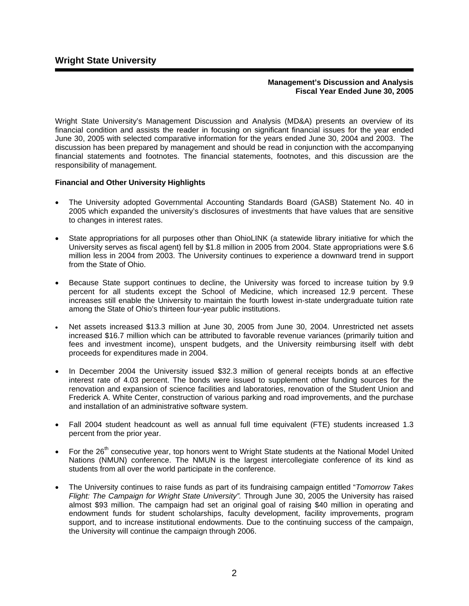#### **Management's Discussion and Analysis Fiscal Year Ended June 30, 2005**

Wright State University's Management Discussion and Analysis (MD&A) presents an overview of its financial condition and assists the reader in focusing on significant financial issues for the year ended June 30, 2005 with selected comparative information for the years ended June 30, 2004 and 2003. The discussion has been prepared by management and should be read in conjunction with the accompanying financial statements and footnotes. The financial statements, footnotes, and this discussion are the responsibility of management.

## **Financial and Other University Highlights**

- The University adopted Governmental Accounting Standards Board (GASB) Statement No. 40 in 2005 which expanded the university's disclosures of investments that have values that are sensitive to changes in interest rates.
- State appropriations for all purposes other than OhioLINK (a statewide library initiative for which the University serves as fiscal agent) fell by \$1.8 million in 2005 from 2004. State appropriations were \$.6 million less in 2004 from 2003. The University continues to experience a downward trend in support from the State of Ohio.
- Because State support continues to decline, the University was forced to increase tuition by 9.9 percent for all students except the School of Medicine, which increased 12.9 percent. These increases still enable the University to maintain the fourth lowest in-state undergraduate tuition rate among the State of Ohio's thirteen four-year public institutions.
- Net assets increased \$13.3 million at June 30, 2005 from June 30, 2004. Unrestricted net assets increased \$16.7 million which can be attributed to favorable revenue variances (primarily tuition and fees and investment income), unspent budgets, and the University reimbursing itself with debt proceeds for expenditures made in 2004.
- In December 2004 the University issued \$32.3 million of general receipts bonds at an effective interest rate of 4.03 percent. The bonds were issued to supplement other funding sources for the renovation and expansion of science facilities and laboratories, renovation of the Student Union and Frederick A. White Center, construction of various parking and road improvements, and the purchase and installation of an administrative software system.
- Fall 2004 student headcount as well as annual full time equivalent (FTE) students increased 1.3 percent from the prior year.
- For the 26<sup>th</sup> consecutive year, top honors went to Wright State students at the National Model United Nations (NMUN) conference. The NMUN is the largest intercollegiate conference of its kind as students from all over the world participate in the conference.
- The University continues to raise funds as part of its fundraising campaign entitled "*Tomorrow Takes Flight: The Campaign for Wright State University".* Through June 30, 2005 the University has raised almost \$93 million. The campaign had set an original goal of raising \$40 million in operating and endowment funds for student scholarships, faculty development, facility improvements, program support, and to increase institutional endowments. Due to the continuing success of the campaign, the University will continue the campaign through 2006.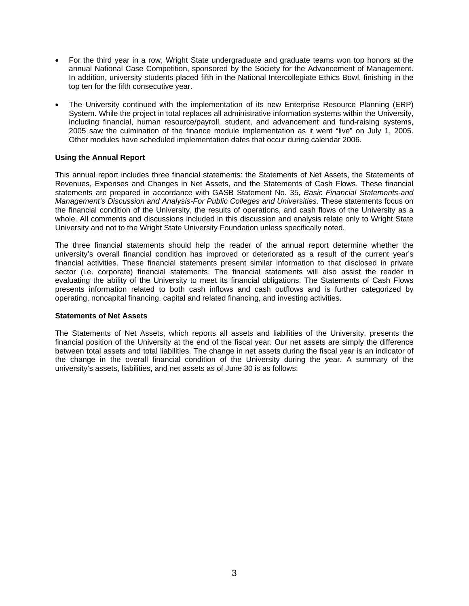- For the third year in a row, Wright State undergraduate and graduate teams won top honors at the annual National Case Competition, sponsored by the Society for the Advancement of Management. In addition, university students placed fifth in the National Intercollegiate Ethics Bowl, finishing in the top ten for the fifth consecutive year.
- The University continued with the implementation of its new Enterprise Resource Planning (ERP) System. While the project in total replaces all administrative information systems within the University, including financial, human resource/payroll, student, and advancement and fund-raising systems, 2005 saw the culmination of the finance module implementation as it went "live" on July 1, 2005. Other modules have scheduled implementation dates that occur during calendar 2006.

## **Using the Annual Report**

This annual report includes three financial statements: the Statements of Net Assets, the Statements of Revenues, Expenses and Changes in Net Assets, and the Statements of Cash Flows. These financial statements are prepared in accordance with GASB Statement No. 35, *Basic Financial Statements-and Management's Discussion and Analysis-For Public Colleges and Universities*. These statements focus on the financial condition of the University, the results of operations, and cash flows of the University as a whole. All comments and discussions included in this discussion and analysis relate only to Wright State University and not to the Wright State University Foundation unless specifically noted.

The three financial statements should help the reader of the annual report determine whether the university's overall financial condition has improved or deteriorated as a result of the current year's financial activities. These financial statements present similar information to that disclosed in private sector (i.e. corporate) financial statements. The financial statements will also assist the reader in evaluating the ability of the University to meet its financial obligations. The Statements of Cash Flows presents information related to both cash inflows and cash outflows and is further categorized by operating, noncapital financing, capital and related financing, and investing activities.

## **Statements of Net Assets**

The Statements of Net Assets, which reports all assets and liabilities of the University, presents the financial position of the University at the end of the fiscal year. Our net assets are simply the difference between total assets and total liabilities. The change in net assets during the fiscal year is an indicator of the change in the overall financial condition of the University during the year. A summary of the university's assets, liabilities, and net assets as of June 30 is as follows: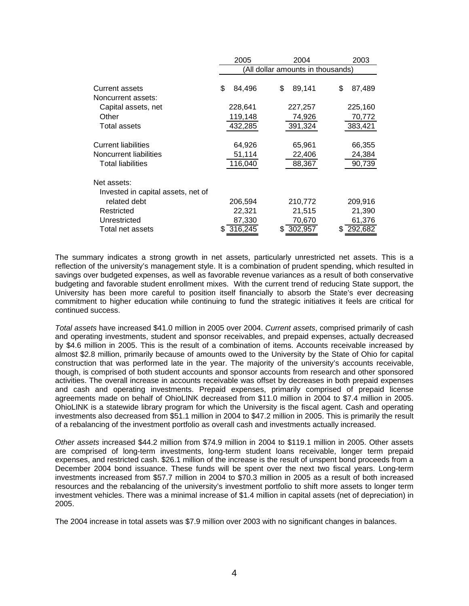|                                                   | 2005                              | 2003         |              |  |  |  |  |  |
|---------------------------------------------------|-----------------------------------|--------------|--------------|--|--|--|--|--|
|                                                   | (All dollar amounts in thousands) |              |              |  |  |  |  |  |
| <b>Current assets</b>                             | \$<br>84,496                      | \$<br>89,141 | \$<br>87,489 |  |  |  |  |  |
| Noncurrent assets:                                |                                   |              |              |  |  |  |  |  |
| Capital assets, net                               | 228,641                           | 227,257      | 225,160      |  |  |  |  |  |
| Other                                             | 119,148                           | 74,926       | 70,772       |  |  |  |  |  |
| Total assets                                      | 432,285                           | 391,324      | 383,421      |  |  |  |  |  |
|                                                   |                                   |              |              |  |  |  |  |  |
| <b>Current liabilities</b>                        | 64,926                            | 65,961       | 66,355       |  |  |  |  |  |
| Noncurrent liabilities                            | 51,114                            | 22,406       | 24,384       |  |  |  |  |  |
| <b>Total liabilities</b>                          | 116,040                           | 88,367       | 90,739       |  |  |  |  |  |
| Net assets:<br>Invested in capital assets, net of |                                   |              |              |  |  |  |  |  |
| related debt                                      | 206,594                           | 210,772      | 209,916      |  |  |  |  |  |
| Restricted                                        | 22,321                            | 21,515       | 21,390       |  |  |  |  |  |
| Unrestricted                                      | 87,330                            | 70,670       | 61,376       |  |  |  |  |  |
| Total net assets                                  | 316,245                           | 302,957      | 292,682      |  |  |  |  |  |

The summary indicates a strong growth in net assets, particularly unrestricted net assets. This is a reflection of the university's management style. It is a combination of prudent spending, which resulted in savings over budgeted expenses, as well as favorable revenue variances as a result of both conservative budgeting and favorable student enrollment mixes. With the current trend of reducing State support, the University has been more careful to position itself financially to absorb the State's ever decreasing commitment to higher education while continuing to fund the strategic initiatives it feels are critical for continued success.

*Total assets* have increased \$41.0 million in 2005 over 2004. *Current assets*, comprised primarily of cash and operating investments, student and sponsor receivables, and prepaid expenses, actually decreased by \$4.6 million in 2005. This is the result of a combination of items. Accounts receivable increased by almost \$2.8 million, primarily because of amounts owed to the University by the State of Ohio for capital construction that was performed late in the year. The majority of the university's accounts receivable, though, is comprised of both student accounts and sponsor accounts from research and other sponsored activities. The overall increase in accounts receivable was offset by decreases in both prepaid expenses and cash and operating investments. Prepaid expenses, primarily comprised of prepaid license agreements made on behalf of OhioLINK decreased from \$11.0 million in 2004 to \$7.4 million in 2005. OhioLINK is a statewide library program for which the University is the fiscal agent. Cash and operating investments also decreased from \$51.1 million in 2004 to \$47.2 million in 2005. This is primarily the result of a rebalancing of the investment portfolio as overall cash and investments actually increased.

*Other assets* increased \$44.2 million from \$74.9 million in 2004 to \$119.1 million in 2005. Other assets are comprised of long-term investments, long-term student loans receivable, longer term prepaid expenses, and restricted cash. \$26.1 million of the increase is the result of unspent bond proceeds from a December 2004 bond issuance. These funds will be spent over the next two fiscal years. Long-term investments increased from \$57.7 million in 2004 to \$70.3 million in 2005 as a result of both increased resources and the rebalancing of the university's investment portfolio to shift more assets to longer term investment vehicles. There was a minimal increase of \$1.4 million in capital assets (net of depreciation) in 2005.

The 2004 increase in total assets was \$7.9 million over 2003 with no significant changes in balances.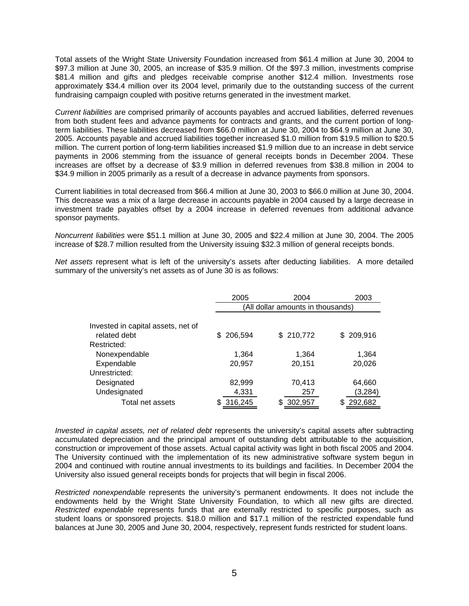Total assets of the Wright State University Foundation increased from \$61.4 million at June 30, 2004 to \$97.3 million at June 30, 2005, an increase of \$35.9 million. Of the \$97.3 million, investments comprise \$81.4 million and gifts and pledges receivable comprise another \$12.4 million. Investments rose approximately \$34.4 million over its 2004 level, primarily due to the outstanding success of the current fundraising campaign coupled with positive returns generated in the investment market.

*Current liabilities* are comprised primarily of accounts payables and accrued liabilities, deferred revenues from both student fees and advance payments for contracts and grants, and the current portion of longterm liabilities. These liabilities decreased from \$66.0 million at June 30, 2004 to \$64.9 million at June 30, 2005. Accounts payable and accrued liabilities together increased \$1.0 million from \$19.5 million to \$20.5 million. The current portion of long-term liabilities increased \$1.9 million due to an increase in debt service payments in 2006 stemming from the issuance of general receipts bonds in December 2004. These increases are offset by a decrease of \$3.9 million in deferred revenues from \$38.8 million in 2004 to \$34.9 million in 2005 primarily as a result of a decrease in advance payments from sponsors.

Current liabilities in total decreased from \$66.4 million at June 30, 2003 to \$66.0 million at June 30, 2004. This decrease was a mix of a large decrease in accounts payable in 2004 caused by a large decrease in investment trade payables offset by a 2004 increase in deferred revenues from additional advance sponsor payments.

*Noncurrent liabilities* were \$51.1 million at June 30, 2005 and \$22.4 million at June 30, 2004. The 2005 increase of \$28.7 million resulted from the University issuing \$32.3 million of general receipts bonds.

*Net assets* represent what is left of the university's assets after deducting liabilities. A more detailed summary of the university's net assets as of June 30 is as follows:

|                                    | 2005                              | 2003      |                |  |  |  |  |  |
|------------------------------------|-----------------------------------|-----------|----------------|--|--|--|--|--|
|                                    | (All dollar amounts in thousands) |           |                |  |  |  |  |  |
|                                    |                                   |           |                |  |  |  |  |  |
| Invested in capital assets, net of |                                   |           |                |  |  |  |  |  |
| related debt                       | 206,594<br>S.                     | \$210,772 | 209,916<br>SS. |  |  |  |  |  |
| Restricted:                        |                                   |           |                |  |  |  |  |  |
| Nonexpendable                      | 1,364                             | 1,364     | 1,364          |  |  |  |  |  |
| Expendable                         | 20,957                            | 20,151    | 20,026         |  |  |  |  |  |
| Unrestricted:                      |                                   |           |                |  |  |  |  |  |
| Designated                         | 82,999                            | 70,413    | 64,660         |  |  |  |  |  |
| Undesignated                       | 4,331                             | 257       | (3,284)        |  |  |  |  |  |
| Total net assets                   | 316,245                           | 302,957   | 292,682        |  |  |  |  |  |

*Invested in capital assets, net of related debt* represents the university's capital assets after subtracting accumulated depreciation and the principal amount of outstanding debt attributable to the acquisition, construction or improvement of those assets. Actual capital activity was light in both fiscal 2005 and 2004. The University continued with the implementation of its new administrative software system begun in 2004 and continued with routine annual investments to its buildings and facilities. In December 2004 the University also issued general receipts bonds for projects that will begin in fiscal 2006.

*Restricted nonexpendable* represents the university's permanent endowments. It does not include the endowments held by the Wright State University Foundation, to which all new gifts are directed. *Restricted expendable* represents funds that are externally restricted to specific purposes, such as student loans or sponsored projects. \$18.0 million and \$17.1 million of the restricted expendable fund balances at June 30, 2005 and June 30, 2004, respectively, represent funds restricted for student loans.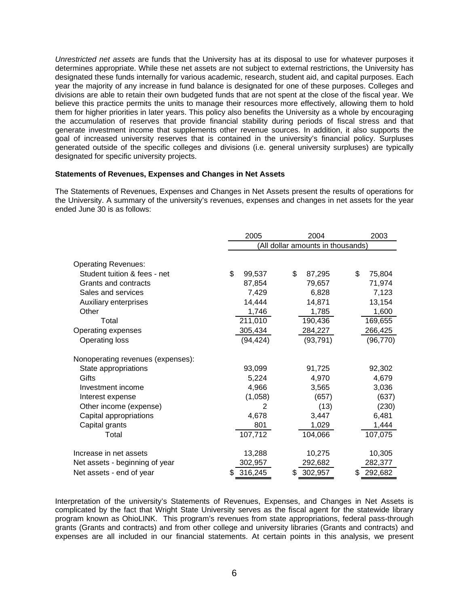*Unrestricted net assets* are funds that the University has at its disposal to use for whatever purposes it determines appropriate. While these net assets are not subject to external restrictions, the University has designated these funds internally for various academic, research, student aid, and capital purposes. Each year the majority of any increase in fund balance is designated for one of these purposes. Colleges and divisions are able to retain their own budgeted funds that are not spent at the close of the fiscal year. We believe this practice permits the units to manage their resources more effectively, allowing them to hold them for higher priorities in later years. This policy also benefits the University as a whole by encouraging the accumulation of reserves that provide financial stability during periods of fiscal stress and that generate investment income that supplements other revenue sources. In addition, it also supports the goal of increased university reserves that is contained in the university's financial policy. Surpluses generated outside of the specific colleges and divisions (i.e. general university surpluses) are typically designated for specific university projects.

#### **Statements of Revenues, Expenses and Changes in Net Assets**

The Statements of Revenues, Expenses and Changes in Net Assets present the results of operations for the University. A summary of the university's revenues, expenses and changes in net assets for the year ended June 30 is as follows:

|                                   | 2005         | 2004                              |              |  |  |  |  |  |
|-----------------------------------|--------------|-----------------------------------|--------------|--|--|--|--|--|
|                                   |              | (All dollar amounts in thousands) |              |  |  |  |  |  |
| <b>Operating Revenues:</b>        |              |                                   |              |  |  |  |  |  |
| Student tuition & fees - net      | \$<br>99,537 | \$<br>87,295                      | \$<br>75,804 |  |  |  |  |  |
| Grants and contracts              | 87,854       | 79,657                            | 71,974       |  |  |  |  |  |
| Sales and services                | 7,429        | 6,828                             | 7,123        |  |  |  |  |  |
| Auxiliary enterprises             | 14,444       | 14,871                            | 13,154       |  |  |  |  |  |
| Other                             | 1,746        | 1,785                             | 1,600        |  |  |  |  |  |
| Total                             | 211,010      | 190,436                           | 169,655      |  |  |  |  |  |
| Operating expenses                | 305,434      | 284,227                           | 266,425      |  |  |  |  |  |
| Operating loss                    | (94, 424)    | (93, 791)                         | (96, 770)    |  |  |  |  |  |
| Nonoperating revenues (expenses): |              |                                   |              |  |  |  |  |  |
| State appropriations              | 93,099       | 91,725                            | 92,302       |  |  |  |  |  |
| Gifts                             | 5,224        | 4,970                             | 4,679        |  |  |  |  |  |
| Investment income                 | 4,966        | 3,565                             | 3,036        |  |  |  |  |  |
| Interest expense                  | (1,058)      | (657)                             | (637)        |  |  |  |  |  |
| Other income (expense)            | 2            | (13)                              | (230)        |  |  |  |  |  |
| Capital appropriations            | 4,678        | 3,447                             | 6,481        |  |  |  |  |  |
| Capital grants                    | 801          | 1,029                             | 1,444        |  |  |  |  |  |
| Total                             | 107,712      | 104,066                           | 107,075      |  |  |  |  |  |
| Increase in net assets            | 13,288       | 10,275                            | 10,305       |  |  |  |  |  |
| Net assets - beginning of year    | 302,957      | 292,682                           | 282,377      |  |  |  |  |  |
| Net assets - end of year          | 316,245<br>S | \$<br>302,957                     | 292,682<br>S |  |  |  |  |  |

Interpretation of the university's Statements of Revenues, Expenses, and Changes in Net Assets is complicated by the fact that Wright State University serves as the fiscal agent for the statewide library program known as OhioLINK. This program's revenues from state appropriations, federal pass-through grants (Grants and contracts) and from other college and university libraries (Grants and contracts) and expenses are all included in our financial statements. At certain points in this analysis, we present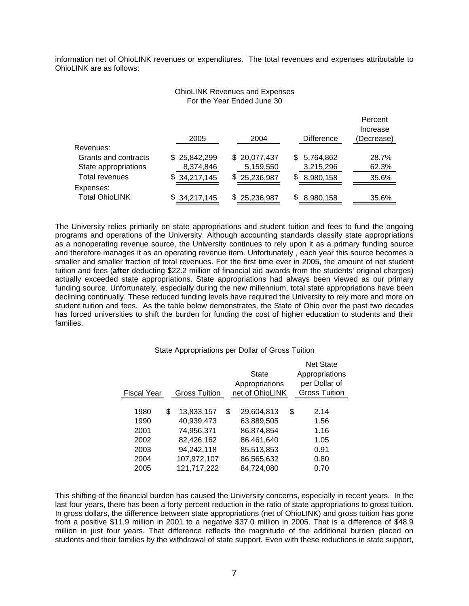information net of OhioLINK revenues or expenditures. The total revenues and expenses attributable to OhioLINK are as follows:

## OhioLINK Revenues and Expenses For the Year Ended June 30

Doroont

|                       | 2005         | 2004         | <b>Difference</b> | . טוטטונ<br>Increase<br>(Decrease) |
|-----------------------|--------------|--------------|-------------------|------------------------------------|
| Revenues:             |              |              |                   |                                    |
| Grants and contracts  | \$25,842,299 | \$20,077,437 | \$5,764,862       | 28.7%                              |
| State appropriations  | 8,374,846    | 5,159,550    | 3,215,296         | 62.3%                              |
| <b>Total revenues</b> | \$34,217,145 | \$25,236,987 | \$<br>8,980,158   | 35.6%                              |
| Expenses:             |              |              |                   |                                    |
| <b>Total OhioLINK</b> | \$34,217,145 | \$25,236,987 | S<br>8,980,158    | 35.6%                              |

The University relies primarily on state appropriations and student tuition and fees to fund the ongoing programs and operations of the University. Although accounting standards classify state appropriations as a nonoperating revenue source, the University continues to rely upon it as a primary funding source and therefore manages it as an operating revenue item. Unfortunately , each year this source becomes a smaller and smaller fraction of total revenues. For the first time ever in 2005, the amount of net student tuition and fees (**after** deducting \$22.2 million of financial aid awards from the students' original charges) actually exceeded state appropriations. State appropriations had always been viewed as our primary funding source. Unfortunately, especially during the new millennium, total state appropriations have been declining continually. These reduced funding levels have required the University to rely more and more on student tuition and fees. As the table below demonstrates, the State of Ohio over the past two decades has forced universities to shift the burden for funding the cost of higher education to students and their families.

#### State Appropriations per Dollar of Gross Tuition

| Fiscal Year | <b>Gross Tuition</b> | <b>State</b><br>Appropriations<br>net of OhioLINK | <b>Net State</b><br>Appropriations<br>per Dollar of<br><b>Gross Tuition</b> |
|-------------|----------------------|---------------------------------------------------|-----------------------------------------------------------------------------|
|             |                      |                                                   |                                                                             |
| 1980        | \$<br>13,833,157     | \$<br>29,604,813                                  | \$<br>2.14                                                                  |
| 1990        | 40,939,473           | 63,889,505                                        | 1.56                                                                        |
| 2001        | 74,956,371           | 86,874,854                                        | 1.16                                                                        |
| 2002        | 82,426,162           | 86,461,640                                        | 1.05                                                                        |
| 2003        | 94,242,118           | 85,513,853                                        | 0.91                                                                        |
| 2004        | 107,972,107          | 86,565,632                                        | 0.80                                                                        |
| 2005        | 121,717,222          | 84.724.080                                        | 0.70                                                                        |

This shifting of the financial burden has caused the University concerns, especially in recent years. In the last four years, there has been a forty percent reduction in the ratio of state appropriations to gross tuition. In gross dollars, the difference between state appropriations (net of OhioLINK) and gross tuition has gone from a positive \$11.9 million in 2001 to a negative \$37.0 million in 2005. That is a difference of \$48.9 million in just four years. That difference reflects the magnitude of the additional burden placed on students and their families by the withdrawal of state support. Even with these reductions in state support,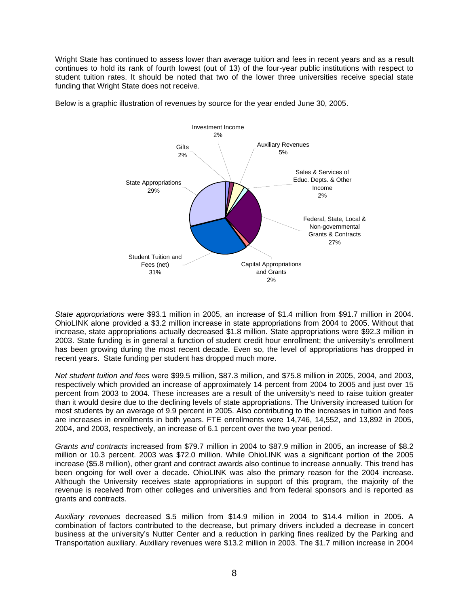Wright State has continued to assess lower than average tuition and fees in recent years and as a result continues to hold its rank of fourth lowest (out of 13) of the four-year public institutions with respect to student tuition rates. It should be noted that two of the lower three universities receive special state funding that Wright State does not receive.



Below is a graphic illustration of revenues by source for the year ended June 30, 2005.

*State appropriations* were \$93.1 million in 2005, an increase of \$1.4 million from \$91.7 million in 2004. OhioLINK alone provided a \$3.2 million increase in state appropriations from 2004 to 2005. Without that increase, state appropriations actually decreased \$1.8 million. State appropriations were \$92.3 million in 2003. State funding is in general a function of student credit hour enrollment; the university's enrollment has been growing during the most recent decade. Even so, the level of appropriations has dropped in recent years. State funding per student has dropped much more.

*Net student tuition and fees* were \$99.5 million, \$87.3 million, and \$75.8 million in 2005, 2004, and 2003, respectively which provided an increase of approximately 14 percent from 2004 to 2005 and just over 15 percent from 2003 to 2004. These increases are a result of the university's need to raise tuition greater than it would desire due to the declining levels of state appropriations. The University increased tuition for most students by an average of 9.9 percent in 2005. Also contributing to the increases in tuition and fees are increases in enrollments in both years. FTE enrollments were 14,746, 14,552, and 13,892 in 2005, 2004, and 2003, respectively, an increase of 6.1 percent over the two year period.

*Grants and contracts* increased from \$79.7 million in 2004 to \$87.9 million in 2005, an increase of \$8.2 million or 10.3 percent. 2003 was \$72.0 million. While OhioLINK was a significant portion of the 2005 increase (\$5.8 million), other grant and contract awards also continue to increase annually. This trend has been ongoing for well over a decade. OhioLINK was also the primary reason for the 2004 increase. Although the University receives state appropriations in support of this program, the majority of the revenue is received from other colleges and universities and from federal sponsors and is reported as grants and contracts.

*Auxiliary revenues* decreased \$.5 million from \$14.9 million in 2004 to \$14.4 million in 2005. A combination of factors contributed to the decrease, but primary drivers included a decrease in concert business at the university's Nutter Center and a reduction in parking fines realized by the Parking and Transportation auxiliary. Auxiliary revenues were \$13.2 million in 2003. The \$1.7 million increase in 2004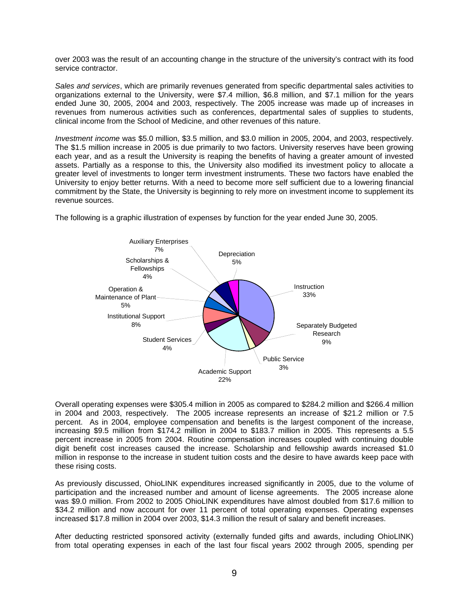over 2003 was the result of an accounting change in the structure of the university's contract with its food service contractor.

*Sales and services*, which are primarily revenues generated from specific departmental sales activities to organizations external to the University, were \$7.4 million, \$6.8 million, and \$7.1 million for the years ended June 30, 2005, 2004 and 2003, respectively. The 2005 increase was made up of increases in revenues from numerous activities such as conferences, departmental sales of supplies to students, clinical income from the School of Medicine, and other revenues of this nature.

*Investment income* was \$5.0 million, \$3.5 million, and \$3.0 million in 2005, 2004, and 2003, respectively. The \$1.5 million increase in 2005 is due primarily to two factors. University reserves have been growing each year, and as a result the University is reaping the benefits of having a greater amount of invested assets. Partially as a response to this, the University also modified its investment policy to allocate a greater level of investments to longer term investment instruments. These two factors have enabled the University to enjoy better returns. With a need to become more self sufficient due to a lowering financial commitment by the State, the University is beginning to rely more on investment income to supplement its revenue sources.



The following is a graphic illustration of expenses by function for the year ended June 30, 2005.

Overall operating expenses were \$305.4 million in 2005 as compared to \$284.2 million and \$266.4 million in 2004 and 2003, respectively. The 2005 increase represents an increase of \$21.2 million or 7.5 percent. As in 2004, employee compensation and benefits is the largest component of the increase, increasing \$9.5 million from \$174.2 million in 2004 to \$183.7 million in 2005. This represents a 5.5 percent increase in 2005 from 2004. Routine compensation increases coupled with continuing double digit benefit cost increases caused the increase. Scholarship and fellowship awards increased \$1.0 million in response to the increase in student tuition costs and the desire to have awards keep pace with these rising costs.

As previously discussed, OhioLINK expenditures increased significantly in 2005, due to the volume of participation and the increased number and amount of license agreements. The 2005 increase alone was \$9.0 million. From 2002 to 2005 OhioLINK expenditures have almost doubled from \$17.6 million to \$34.2 million and now account for over 11 percent of total operating expenses. Operating expenses increased \$17.8 million in 2004 over 2003, \$14.3 million the result of salary and benefit increases.

After deducting restricted sponsored activity (externally funded gifts and awards, including OhioLINK) from total operating expenses in each of the last four fiscal years 2002 through 2005, spending per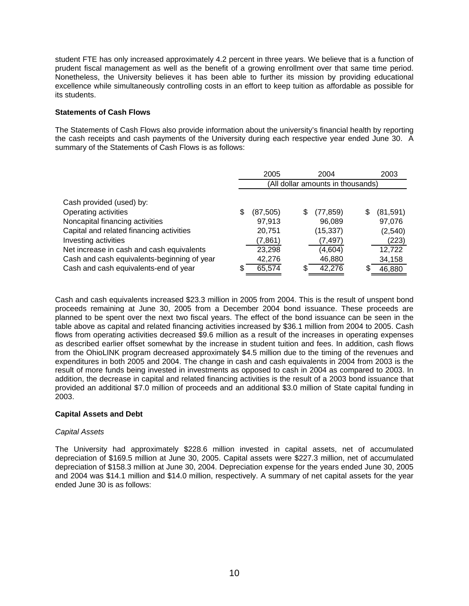student FTE has only increased approximately 4.2 percent in three years. We believe that is a function of prudent fiscal management as well as the benefit of a growing enrollment over that same time period. Nonetheless, the University believes it has been able to further its mission by providing educational excellence while simultaneously controlling costs in an effort to keep tuition as affordable as possible for its students.

## **Statements of Cash Flows**

The Statements of Cash Flows also provide information about the university's financial health by reporting the cash receipts and cash payments of the University during each respective year ended June 30. A summary of the Statements of Cash Flows is as follows:

|                                             |                                   | 2005<br>2004 |   |           |    | 2003      |  |  |
|---------------------------------------------|-----------------------------------|--------------|---|-----------|----|-----------|--|--|
|                                             | (All dollar amounts in thousands) |              |   |           |    |           |  |  |
| Cash provided (used) by:                    |                                   |              |   |           |    |           |  |  |
| Operating activities                        | S                                 | (87, 505)    | S | (77, 859) | \$ | (81, 591) |  |  |
| Noncapital financing activities             |                                   | 97,913       |   | 96,089    |    | 97,076    |  |  |
| Capital and related financing activities    |                                   | 20,751       |   | (15, 337) |    | (2, 540)  |  |  |
| Investing activities                        |                                   | (7, 861)     |   | (7, 497)  |    | (223)     |  |  |
| Net increase in cash and cash equivalents   |                                   | 23,298       |   | (4,604)   |    | 12,722    |  |  |
| Cash and cash equivalents-beginning of year |                                   | 42,276       |   | 46,880    |    | 34,158    |  |  |
| Cash and cash equivalents-end of year       |                                   | 65,574       |   | 42,276    | S  | 46,880    |  |  |

Cash and cash equivalents increased \$23.3 million in 2005 from 2004. This is the result of unspent bond proceeds remaining at June 30, 2005 from a December 2004 bond issuance. These proceeds are planned to be spent over the next two fiscal years. The effect of the bond issuance can be seen in the table above as capital and related financing activities increased by \$36.1 million from 2004 to 2005. Cash flows from operating activities decreased \$9.6 million as a result of the increases in operating expenses as described earlier offset somewhat by the increase in student tuition and fees. In addition, cash flows from the OhioLINK program decreased approximately \$4.5 million due to the timing of the revenues and expenditures in both 2005 and 2004. The change in cash and cash equivalents in 2004 from 2003 is the result of more funds being invested in investments as opposed to cash in 2004 as compared to 2003. In addition, the decrease in capital and related financing activities is the result of a 2003 bond issuance that provided an additional \$7.0 million of proceeds and an additional \$3.0 million of State capital funding in 2003.

## **Capital Assets and Debt**

## *Capital Assets*

The University had approximately \$228.6 million invested in capital assets, net of accumulated depreciation of \$169.5 million at June 30, 2005. Capital assets were \$227.3 million, net of accumulated depreciation of \$158.3 million at June 30, 2004. Depreciation expense for the years ended June 30, 2005 and 2004 was \$14.1 million and \$14.0 million, respectively. A summary of net capital assets for the year ended June 30 is as follows: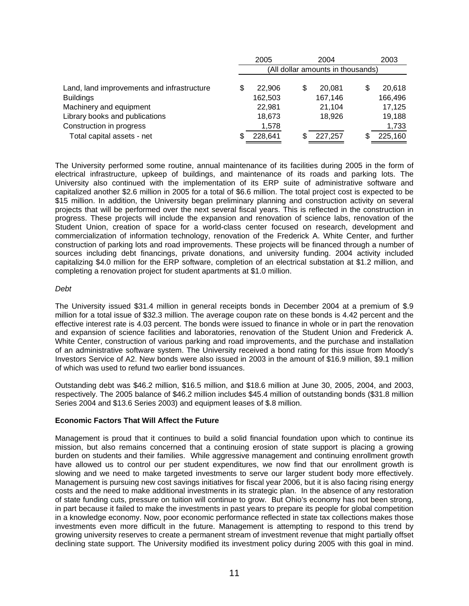|                                            |                                   | 2004<br>2005 |   |         |   | 2003    |  |  |
|--------------------------------------------|-----------------------------------|--------------|---|---------|---|---------|--|--|
|                                            | (All dollar amounts in thousands) |              |   |         |   |         |  |  |
| Land, land improvements and infrastructure | S                                 | 22,906       | S | 20.081  | S | 20,618  |  |  |
| <b>Buildings</b>                           |                                   | 162,503      |   | 167,146 |   | 166,496 |  |  |
| Machinery and equipment                    |                                   | 22,981       |   | 21,104  |   | 17,125  |  |  |
| Library books and publications             |                                   | 18,673       |   | 18,926  |   | 19,188  |  |  |
| Construction in progress                   |                                   | 1,578        |   |         |   | 1,733   |  |  |
| Total capital assets - net                 | S                                 | 228,641      | S | 227,257 | S | 225,160 |  |  |

The University performed some routine, annual maintenance of its facilities during 2005 in the form of electrical infrastructure, upkeep of buildings, and maintenance of its roads and parking lots. The University also continued with the implementation of its ERP suite of administrative software and capitalized another \$2.6 million in 2005 for a total of \$6.6 million. The total project cost is expected to be \$15 million. In addition, the University began preliminary planning and construction activity on several projects that will be performed over the next several fiscal years. This is reflected in the construction in progress. These projects will include the expansion and renovation of science labs, renovation of the Student Union, creation of space for a world-class center focused on research, development and commercialization of information technology, renovation of the Frederick A. White Center, and further construction of parking lots and road improvements. These projects will be financed through a number of sources including debt financings, private donations, and university funding. 2004 activity included capitalizing \$4.0 million for the ERP software, completion of an electrical substation at \$1.2 million, and completing a renovation project for student apartments at \$1.0 million.

## *Debt*

The University issued \$31.4 million in general receipts bonds in December 2004 at a premium of \$.9 million for a total issue of \$32.3 million. The average coupon rate on these bonds is 4.42 percent and the effective interest rate is 4.03 percent. The bonds were issued to finance in whole or in part the renovation and expansion of science facilities and laboratories, renovation of the Student Union and Frederick A. White Center, construction of various parking and road improvements, and the purchase and installation of an administrative software system. The University received a bond rating for this issue from Moody's Investors Service of A2. New bonds were also issued in 2003 in the amount of \$16.9 million, \$9.1 million of which was used to refund two earlier bond issuances.

Outstanding debt was \$46.2 million, \$16.5 million, and \$18.6 million at June 30, 2005, 2004, and 2003, respectively. The 2005 balance of \$46.2 million includes \$45.4 million of outstanding bonds (\$31.8 million Series 2004 and \$13.6 Series 2003) and equipment leases of \$.8 million.

## **Economic Factors That Will Affect the Future**

Management is proud that it continues to build a solid financial foundation upon which to continue its mission, but also remains concerned that a continuing erosion of state support is placing a growing burden on students and their families. While aggressive management and continuing enrollment growth have allowed us to control our per student expenditures, we now find that our enrollment growth is slowing and we need to make targeted investments to serve our larger student body more effectively. Management is pursuing new cost savings initiatives for fiscal year 2006, but it is also facing rising energy costs and the need to make additional investments in its strategic plan. In the absence of any restoration of state funding cuts, pressure on tuition will continue to grow. But Ohio's economy has not been strong, in part because it failed to make the investments in past years to prepare its people for global competition in a knowledge economy. Now, poor economic performance reflected in state tax collections makes those investments even more difficult in the future. Management is attempting to respond to this trend by growing university reserves to create a permanent stream of investment revenue that might partially offset declining state support. The University modified its investment policy during 2005 with this goal in mind.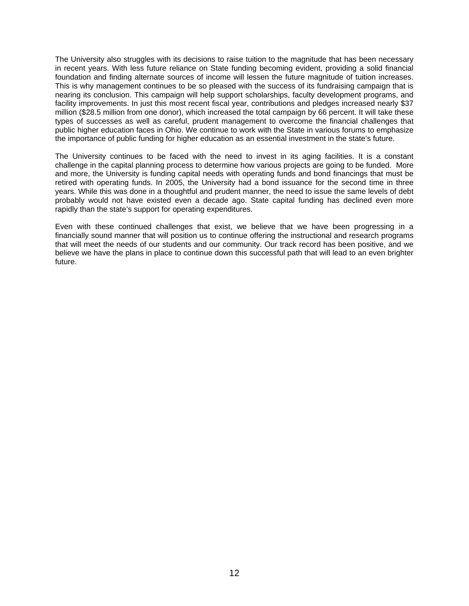The University also struggles with its decisions to raise tuition to the magnitude that has been necessary in recent years. With less future reliance on State funding becoming evident, providing a solid financial foundation and finding alternate sources of income will lessen the future magnitude of tuition increases. This is why management continues to be so pleased with the success of its fundraising campaign that is nearing its conclusion. This campaign will help support scholarships, faculty development programs, and facility improvements. In just this most recent fiscal year, contributions and pledges increased nearly \$37 million (\$28.5 million from one donor), which increased the total campaign by 66 percent. It will take these types of successes as well as careful, prudent management to overcome the financial challenges that public higher education faces in Ohio. We continue to work with the State in various forums to emphasize the importance of public funding for higher education as an essential investment in the state's future.

The University continues to be faced with the need to invest in its aging facilities. It is a constant challenge in the capital planning process to determine how various projects are going to be funded. More and more, the University is funding capital needs with operating funds and bond financings that must be retired with operating funds. In 2005, the University had a bond issuance for the second time in three years. While this was done in a thoughtful and prudent manner, the need to issue the same levels of debt probably would not have existed even a decade ago. State capital funding has declined even more rapidly than the state's support for operating expenditures.

Even with these continued challenges that exist, we believe that we have been progressing in a financially sound manner that will position us to continue offering the instructional and research programs that will meet the needs of our students and our community. Our track record has been positive, and we believe we have the plans in place to continue down this successful path that will lead to an even brighter future.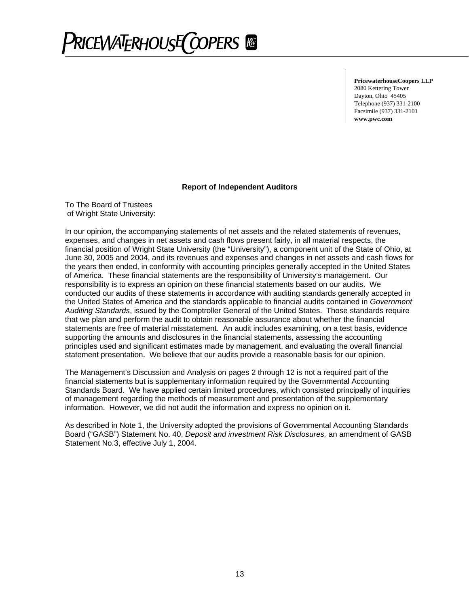# RICEWATERHOUSE(COPERS ®

**PricewaterhouseCoopers LLP** 2080 Kettering Tower Dayton, Ohio 45405 Telephone (937) 331-2100 Facsimile (937) 331-2101 **www.pwc.com** 

#### **Report of Independent Auditors**

To The Board of Trustees of Wright State University:

In our opinion, the accompanying statements of net assets and the related statements of revenues, expenses, and changes in net assets and cash flows present fairly, in all material respects, the financial position of Wright State University (the "University"), a component unit of the State of Ohio, at June 30, 2005 and 2004, and its revenues and expenses and changes in net assets and cash flows for the years then ended, in conformity with accounting principles generally accepted in the United States of America. These financial statements are the responsibility of University's management. Our responsibility is to express an opinion on these financial statements based on our audits. We conducted our audits of these statements in accordance with auditing standards generally accepted in the United States of America and the standards applicable to financial audits contained in *Government Auditing Standards*, issued by the Comptroller General of the United States. Those standards require that we plan and perform the audit to obtain reasonable assurance about whether the financial statements are free of material misstatement. An audit includes examining, on a test basis, evidence supporting the amounts and disclosures in the financial statements, assessing the accounting principles used and significant estimates made by management, and evaluating the overall financial statement presentation. We believe that our audits provide a reasonable basis for our opinion.

The Management's Discussion and Analysis on pages 2 through 12 is not a required part of the financial statements but is supplementary information required by the Governmental Accounting Standards Board. We have applied certain limited procedures, which consisted principally of inquiries of management regarding the methods of measurement and presentation of the supplementary information. However, we did not audit the information and express no opinion on it.

As described in Note 1, the University adopted the provisions of Governmental Accounting Standards Board ("GASB") Statement No. 40, *Deposit and investment Risk Disclosures,* an amendment of GASB Statement No.3, effective July 1, 2004.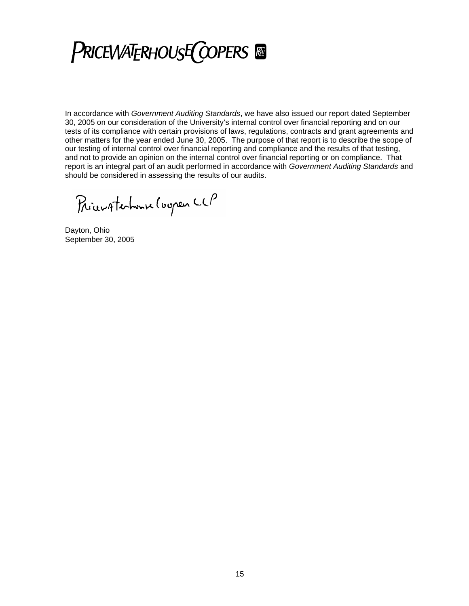**PRICEWATERHOUSE COPERS** 

In accordance with *Government Auditing Standards*, we have also issued our report dated September 30, 2005 on our consideration of the University's internal control over financial reporting and on our tests of its compliance with certain provisions of laws, regulations, contracts and grant agreements and other matters for the year ended June 30, 2005. The purpose of that report is to describe the scope of our testing of internal control over financial reporting and compliance and the results of that testing, and not to provide an opinion on the internal control over financial reporting or on compliance. That report is an integral part of an audit performed in accordance with *Government Auditing Standards* and should be considered in assessing the results of our audits.

Pricevatembuse (uspen CCP

Dayton, Ohio September 30, 2005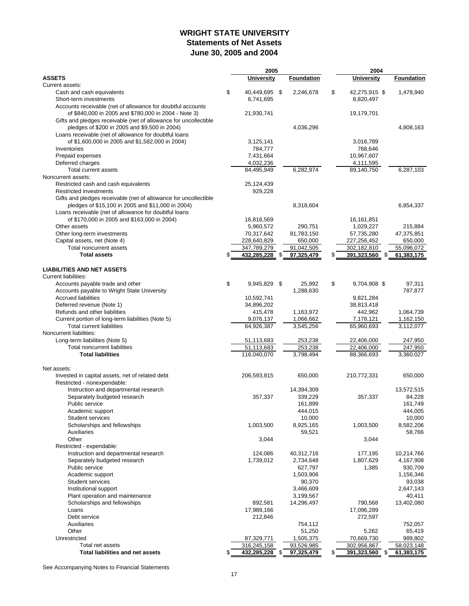# **WRIGHT STATE UNIVERSITY Statements of Net Assets June 30, 2005 and 2004**

| <b>ASSETS</b><br><b>University</b><br><b>Foundation</b><br><b>University</b><br><b>Foundation</b><br>Current assets:<br>\$<br>Cash and cash equivalents<br>40,449,695 \$<br>2,246,678<br>\$<br>42,275,915 \$<br>1,478,940<br>Short-term investments<br>6,741,695<br>8,820,497<br>Accounts receivable (net of allowance for doubtful accounts<br>of \$840,000 in 2005 and \$780,000 in 2004 - Note 3)<br>21,930,741<br>19,179,701<br>Gifts and pledges receivable (net of allowance for uncollectible<br>pledges of \$200 in 2005 and \$9,500 in 2004)<br>4,036,296<br>4,808,163<br>Loans receivable (net of allowance for doubtful loans<br>of \$1,600,000 in 2005 and \$1,582,000 in 2004)<br>3,125,141<br>3,016,789<br>Inventories<br>784,777<br>768,646<br>Prepaid expenses<br>7,431,664<br>10,967,607<br>Deferred charges<br>4,032,236<br>4,111,595<br><b>Total current assets</b><br>84,495,949<br>89,140,750<br>6,282,974<br>6,287,103<br>Noncurrent assets:<br>Restricted cash and cash equivalents<br>25,124,439<br><b>Restricted investments</b><br>929,228<br>Gifts and pledges receivable (net of allowance for uncollectible<br>pledges of \$15,100 in 2005 and \$11,000 in 2004)<br>8,318,604<br>6,854,337<br>Loans receivable (net of allowance for doubtful loans<br>of \$170,000 in 2005 and \$163,000 in 2004)<br>16,816,569<br>16,161,851<br>Other assets<br>5,960,572<br>290,751<br>1,029,227<br>215,884<br>70,317,642<br>81,783,150<br>57,735,280<br>47,375,851<br>Other long-term investments<br>Capital assets, net (Note 4)<br>228,640,829<br>650,000<br>227,256,452<br>650,000<br>Total noncurrent assets<br>347,789,279<br>91,042,505<br>55,096,072<br>302,182,810<br>\$<br><b>Total assets</b><br>432,285,228 \$<br>391,323,560 \$<br>97,325,479<br>61,383,175<br><b>LIABILITIES AND NET ASSETS</b><br><b>Current liabilities:</b><br>\$<br>Accounts payable trade and other<br>9,945,829 \$<br>25,992<br>\$<br>9,704,908 \$<br>97,311<br>Accounts payable to Wright State University<br>1,288,630<br>787,877<br><b>Accrued liabilities</b><br>10,592,741<br>9,821,284<br>Deferred revenue (Note 1)<br>34,896,202<br>38,813,418<br>Refunds and other liabilities<br>415,478<br>1,163,972<br>442,962<br>1,064,739<br>Current portion of long-term liabilities (Note 5)<br>9,076,137<br>1,162,150<br>1,066,662<br>7,178,121<br>64,926,387<br>65,960,693<br><b>Total current liabilities</b><br>3,545,256<br>3,112,077<br>Noncurrent liabilities:<br>Long-term liabilities (Note 5)<br>253,238<br>247,950<br>51,113,683<br>22,406,000<br>51,113,683<br>253,238<br>22,406,000<br>247,950<br><b>Total noncurrent liabilities</b><br>116,040,070<br>3,798,494<br>88,366,693<br>3,360,027<br><b>Total liabilities</b><br>Net assets:<br>Invested in capital assets, net of related debt<br>206,593,815<br>650,000<br>210,772,331<br>650,000<br>Restricted - nonexpendable:<br>Instruction and departmental research<br>14,394,309<br>13,572,515<br>Separately budgeted research<br>84,228<br>357,337<br>339,229<br>357,337<br>Public service<br>161,899<br>161,749<br>Academic support<br>444,015<br>444,005<br>10,000<br>10,000<br><b>Student services</b><br>8,925,165<br>Scholarships and fellowships<br>1,003,500<br>1,003,500<br>8,582,206<br>Auxiliaries<br>58,766<br>59,521<br>Other<br>3,044<br>3,044<br>Restricted - expendable:<br>Instruction and departmental research<br>124,086<br>40,312,716<br>177,195<br>10,214,766<br>1,739,012<br>2,734,648<br>1,807,629<br>4,167,908<br>Separately budgeted research<br>Public service<br>627,797<br>1,385<br>930,709<br>1,156,346<br>Academic support<br>1,503,906<br><b>Student services</b><br>93,038<br>90,370<br>Institutional support<br>3,466,609<br>2,647,143<br>3,199,567<br>40,411<br>Plant operation and maintenance<br>Scholarships and fellowships<br>892,581<br>14,296,497<br>790,568<br>13,402,080<br>17,989,166<br>17,096,289<br>Loans<br>Debt service<br>212,846<br>272,597<br><b>Auxiliaries</b><br>752,057<br>754,112<br>Other<br>51,250<br>5,262<br>65,419<br>Unrestricted<br>87,329,771<br>1,505,375<br>70,669,730<br>989,802<br>316,245,158<br>93,526,985<br>302,956,867<br>58,023,148<br>Total net assets<br><b>Total liabilities and net assets</b><br>\$<br>432,285,228 \$<br>\$<br>97,325,479<br>391,323,560<br>\$<br>61,383,175 |  | 2005 |  | 2004 |  |  |  |
|-----------------------------------------------------------------------------------------------------------------------------------------------------------------------------------------------------------------------------------------------------------------------------------------------------------------------------------------------------------------------------------------------------------------------------------------------------------------------------------------------------------------------------------------------------------------------------------------------------------------------------------------------------------------------------------------------------------------------------------------------------------------------------------------------------------------------------------------------------------------------------------------------------------------------------------------------------------------------------------------------------------------------------------------------------------------------------------------------------------------------------------------------------------------------------------------------------------------------------------------------------------------------------------------------------------------------------------------------------------------------------------------------------------------------------------------------------------------------------------------------------------------------------------------------------------------------------------------------------------------------------------------------------------------------------------------------------------------------------------------------------------------------------------------------------------------------------------------------------------------------------------------------------------------------------------------------------------------------------------------------------------------------------------------------------------------------------------------------------------------------------------------------------------------------------------------------------------------------------------------------------------------------------------------------------------------------------------------------------------------------------------------------------------------------------------------------------------------------------------------------------------------------------------------------------------------------------------------------------------------------------------------------------------------------------------------------------------------------------------------------------------------------------------------------------------------------------------------------------------------------------------------------------------------------------------------------------------------------------------------------------------------------------------------------------------------------------------------------------------------------------------------------------------------------------------------------------------------------------------------------------------------------------------------------------------------------------------------------------------------------------------------------------------------------------------------------------------------------------------------------------------------------------------------------------------------------------------------------------------------------------------------------------------------------------------------------------------------------------------------------------------------------------------------------------------------------------------------------------------------------------------------------------------------------------------------------------------------------------------------------------------------------------------------------------------------------------------------------------------------------------------------------------------------------------------------------------------------------------------------------------------------------------------------------------------------------------------|--|------|--|------|--|--|--|
|                                                                                                                                                                                                                                                                                                                                                                                                                                                                                                                                                                                                                                                                                                                                                                                                                                                                                                                                                                                                                                                                                                                                                                                                                                                                                                                                                                                                                                                                                                                                                                                                                                                                                                                                                                                                                                                                                                                                                                                                                                                                                                                                                                                                                                                                                                                                                                                                                                                                                                                                                                                                                                                                                                                                                                                                                                                                                                                                                                                                                                                                                                                                                                                                                                                                                                                                                                                                                                                                                                                                                                                                                                                                                                                                                                                                                                                                                                                                                                                                                                                                                                                                                                                                                                                                                                                                   |  |      |  |      |  |  |  |
|                                                                                                                                                                                                                                                                                                                                                                                                                                                                                                                                                                                                                                                                                                                                                                                                                                                                                                                                                                                                                                                                                                                                                                                                                                                                                                                                                                                                                                                                                                                                                                                                                                                                                                                                                                                                                                                                                                                                                                                                                                                                                                                                                                                                                                                                                                                                                                                                                                                                                                                                                                                                                                                                                                                                                                                                                                                                                                                                                                                                                                                                                                                                                                                                                                                                                                                                                                                                                                                                                                                                                                                                                                                                                                                                                                                                                                                                                                                                                                                                                                                                                                                                                                                                                                                                                                                                   |  |      |  |      |  |  |  |
|                                                                                                                                                                                                                                                                                                                                                                                                                                                                                                                                                                                                                                                                                                                                                                                                                                                                                                                                                                                                                                                                                                                                                                                                                                                                                                                                                                                                                                                                                                                                                                                                                                                                                                                                                                                                                                                                                                                                                                                                                                                                                                                                                                                                                                                                                                                                                                                                                                                                                                                                                                                                                                                                                                                                                                                                                                                                                                                                                                                                                                                                                                                                                                                                                                                                                                                                                                                                                                                                                                                                                                                                                                                                                                                                                                                                                                                                                                                                                                                                                                                                                                                                                                                                                                                                                                                                   |  |      |  |      |  |  |  |
|                                                                                                                                                                                                                                                                                                                                                                                                                                                                                                                                                                                                                                                                                                                                                                                                                                                                                                                                                                                                                                                                                                                                                                                                                                                                                                                                                                                                                                                                                                                                                                                                                                                                                                                                                                                                                                                                                                                                                                                                                                                                                                                                                                                                                                                                                                                                                                                                                                                                                                                                                                                                                                                                                                                                                                                                                                                                                                                                                                                                                                                                                                                                                                                                                                                                                                                                                                                                                                                                                                                                                                                                                                                                                                                                                                                                                                                                                                                                                                                                                                                                                                                                                                                                                                                                                                                                   |  |      |  |      |  |  |  |
|                                                                                                                                                                                                                                                                                                                                                                                                                                                                                                                                                                                                                                                                                                                                                                                                                                                                                                                                                                                                                                                                                                                                                                                                                                                                                                                                                                                                                                                                                                                                                                                                                                                                                                                                                                                                                                                                                                                                                                                                                                                                                                                                                                                                                                                                                                                                                                                                                                                                                                                                                                                                                                                                                                                                                                                                                                                                                                                                                                                                                                                                                                                                                                                                                                                                                                                                                                                                                                                                                                                                                                                                                                                                                                                                                                                                                                                                                                                                                                                                                                                                                                                                                                                                                                                                                                                                   |  |      |  |      |  |  |  |
|                                                                                                                                                                                                                                                                                                                                                                                                                                                                                                                                                                                                                                                                                                                                                                                                                                                                                                                                                                                                                                                                                                                                                                                                                                                                                                                                                                                                                                                                                                                                                                                                                                                                                                                                                                                                                                                                                                                                                                                                                                                                                                                                                                                                                                                                                                                                                                                                                                                                                                                                                                                                                                                                                                                                                                                                                                                                                                                                                                                                                                                                                                                                                                                                                                                                                                                                                                                                                                                                                                                                                                                                                                                                                                                                                                                                                                                                                                                                                                                                                                                                                                                                                                                                                                                                                                                                   |  |      |  |      |  |  |  |
|                                                                                                                                                                                                                                                                                                                                                                                                                                                                                                                                                                                                                                                                                                                                                                                                                                                                                                                                                                                                                                                                                                                                                                                                                                                                                                                                                                                                                                                                                                                                                                                                                                                                                                                                                                                                                                                                                                                                                                                                                                                                                                                                                                                                                                                                                                                                                                                                                                                                                                                                                                                                                                                                                                                                                                                                                                                                                                                                                                                                                                                                                                                                                                                                                                                                                                                                                                                                                                                                                                                                                                                                                                                                                                                                                                                                                                                                                                                                                                                                                                                                                                                                                                                                                                                                                                                                   |  |      |  |      |  |  |  |
|                                                                                                                                                                                                                                                                                                                                                                                                                                                                                                                                                                                                                                                                                                                                                                                                                                                                                                                                                                                                                                                                                                                                                                                                                                                                                                                                                                                                                                                                                                                                                                                                                                                                                                                                                                                                                                                                                                                                                                                                                                                                                                                                                                                                                                                                                                                                                                                                                                                                                                                                                                                                                                                                                                                                                                                                                                                                                                                                                                                                                                                                                                                                                                                                                                                                                                                                                                                                                                                                                                                                                                                                                                                                                                                                                                                                                                                                                                                                                                                                                                                                                                                                                                                                                                                                                                                                   |  |      |  |      |  |  |  |
|                                                                                                                                                                                                                                                                                                                                                                                                                                                                                                                                                                                                                                                                                                                                                                                                                                                                                                                                                                                                                                                                                                                                                                                                                                                                                                                                                                                                                                                                                                                                                                                                                                                                                                                                                                                                                                                                                                                                                                                                                                                                                                                                                                                                                                                                                                                                                                                                                                                                                                                                                                                                                                                                                                                                                                                                                                                                                                                                                                                                                                                                                                                                                                                                                                                                                                                                                                                                                                                                                                                                                                                                                                                                                                                                                                                                                                                                                                                                                                                                                                                                                                                                                                                                                                                                                                                                   |  |      |  |      |  |  |  |
|                                                                                                                                                                                                                                                                                                                                                                                                                                                                                                                                                                                                                                                                                                                                                                                                                                                                                                                                                                                                                                                                                                                                                                                                                                                                                                                                                                                                                                                                                                                                                                                                                                                                                                                                                                                                                                                                                                                                                                                                                                                                                                                                                                                                                                                                                                                                                                                                                                                                                                                                                                                                                                                                                                                                                                                                                                                                                                                                                                                                                                                                                                                                                                                                                                                                                                                                                                                                                                                                                                                                                                                                                                                                                                                                                                                                                                                                                                                                                                                                                                                                                                                                                                                                                                                                                                                                   |  |      |  |      |  |  |  |
|                                                                                                                                                                                                                                                                                                                                                                                                                                                                                                                                                                                                                                                                                                                                                                                                                                                                                                                                                                                                                                                                                                                                                                                                                                                                                                                                                                                                                                                                                                                                                                                                                                                                                                                                                                                                                                                                                                                                                                                                                                                                                                                                                                                                                                                                                                                                                                                                                                                                                                                                                                                                                                                                                                                                                                                                                                                                                                                                                                                                                                                                                                                                                                                                                                                                                                                                                                                                                                                                                                                                                                                                                                                                                                                                                                                                                                                                                                                                                                                                                                                                                                                                                                                                                                                                                                                                   |  |      |  |      |  |  |  |
|                                                                                                                                                                                                                                                                                                                                                                                                                                                                                                                                                                                                                                                                                                                                                                                                                                                                                                                                                                                                                                                                                                                                                                                                                                                                                                                                                                                                                                                                                                                                                                                                                                                                                                                                                                                                                                                                                                                                                                                                                                                                                                                                                                                                                                                                                                                                                                                                                                                                                                                                                                                                                                                                                                                                                                                                                                                                                                                                                                                                                                                                                                                                                                                                                                                                                                                                                                                                                                                                                                                                                                                                                                                                                                                                                                                                                                                                                                                                                                                                                                                                                                                                                                                                                                                                                                                                   |  |      |  |      |  |  |  |
|                                                                                                                                                                                                                                                                                                                                                                                                                                                                                                                                                                                                                                                                                                                                                                                                                                                                                                                                                                                                                                                                                                                                                                                                                                                                                                                                                                                                                                                                                                                                                                                                                                                                                                                                                                                                                                                                                                                                                                                                                                                                                                                                                                                                                                                                                                                                                                                                                                                                                                                                                                                                                                                                                                                                                                                                                                                                                                                                                                                                                                                                                                                                                                                                                                                                                                                                                                                                                                                                                                                                                                                                                                                                                                                                                                                                                                                                                                                                                                                                                                                                                                                                                                                                                                                                                                                                   |  |      |  |      |  |  |  |
|                                                                                                                                                                                                                                                                                                                                                                                                                                                                                                                                                                                                                                                                                                                                                                                                                                                                                                                                                                                                                                                                                                                                                                                                                                                                                                                                                                                                                                                                                                                                                                                                                                                                                                                                                                                                                                                                                                                                                                                                                                                                                                                                                                                                                                                                                                                                                                                                                                                                                                                                                                                                                                                                                                                                                                                                                                                                                                                                                                                                                                                                                                                                                                                                                                                                                                                                                                                                                                                                                                                                                                                                                                                                                                                                                                                                                                                                                                                                                                                                                                                                                                                                                                                                                                                                                                                                   |  |      |  |      |  |  |  |
|                                                                                                                                                                                                                                                                                                                                                                                                                                                                                                                                                                                                                                                                                                                                                                                                                                                                                                                                                                                                                                                                                                                                                                                                                                                                                                                                                                                                                                                                                                                                                                                                                                                                                                                                                                                                                                                                                                                                                                                                                                                                                                                                                                                                                                                                                                                                                                                                                                                                                                                                                                                                                                                                                                                                                                                                                                                                                                                                                                                                                                                                                                                                                                                                                                                                                                                                                                                                                                                                                                                                                                                                                                                                                                                                                                                                                                                                                                                                                                                                                                                                                                                                                                                                                                                                                                                                   |  |      |  |      |  |  |  |
|                                                                                                                                                                                                                                                                                                                                                                                                                                                                                                                                                                                                                                                                                                                                                                                                                                                                                                                                                                                                                                                                                                                                                                                                                                                                                                                                                                                                                                                                                                                                                                                                                                                                                                                                                                                                                                                                                                                                                                                                                                                                                                                                                                                                                                                                                                                                                                                                                                                                                                                                                                                                                                                                                                                                                                                                                                                                                                                                                                                                                                                                                                                                                                                                                                                                                                                                                                                                                                                                                                                                                                                                                                                                                                                                                                                                                                                                                                                                                                                                                                                                                                                                                                                                                                                                                                                                   |  |      |  |      |  |  |  |
|                                                                                                                                                                                                                                                                                                                                                                                                                                                                                                                                                                                                                                                                                                                                                                                                                                                                                                                                                                                                                                                                                                                                                                                                                                                                                                                                                                                                                                                                                                                                                                                                                                                                                                                                                                                                                                                                                                                                                                                                                                                                                                                                                                                                                                                                                                                                                                                                                                                                                                                                                                                                                                                                                                                                                                                                                                                                                                                                                                                                                                                                                                                                                                                                                                                                                                                                                                                                                                                                                                                                                                                                                                                                                                                                                                                                                                                                                                                                                                                                                                                                                                                                                                                                                                                                                                                                   |  |      |  |      |  |  |  |
|                                                                                                                                                                                                                                                                                                                                                                                                                                                                                                                                                                                                                                                                                                                                                                                                                                                                                                                                                                                                                                                                                                                                                                                                                                                                                                                                                                                                                                                                                                                                                                                                                                                                                                                                                                                                                                                                                                                                                                                                                                                                                                                                                                                                                                                                                                                                                                                                                                                                                                                                                                                                                                                                                                                                                                                                                                                                                                                                                                                                                                                                                                                                                                                                                                                                                                                                                                                                                                                                                                                                                                                                                                                                                                                                                                                                                                                                                                                                                                                                                                                                                                                                                                                                                                                                                                                                   |  |      |  |      |  |  |  |
|                                                                                                                                                                                                                                                                                                                                                                                                                                                                                                                                                                                                                                                                                                                                                                                                                                                                                                                                                                                                                                                                                                                                                                                                                                                                                                                                                                                                                                                                                                                                                                                                                                                                                                                                                                                                                                                                                                                                                                                                                                                                                                                                                                                                                                                                                                                                                                                                                                                                                                                                                                                                                                                                                                                                                                                                                                                                                                                                                                                                                                                                                                                                                                                                                                                                                                                                                                                                                                                                                                                                                                                                                                                                                                                                                                                                                                                                                                                                                                                                                                                                                                                                                                                                                                                                                                                                   |  |      |  |      |  |  |  |
|                                                                                                                                                                                                                                                                                                                                                                                                                                                                                                                                                                                                                                                                                                                                                                                                                                                                                                                                                                                                                                                                                                                                                                                                                                                                                                                                                                                                                                                                                                                                                                                                                                                                                                                                                                                                                                                                                                                                                                                                                                                                                                                                                                                                                                                                                                                                                                                                                                                                                                                                                                                                                                                                                                                                                                                                                                                                                                                                                                                                                                                                                                                                                                                                                                                                                                                                                                                                                                                                                                                                                                                                                                                                                                                                                                                                                                                                                                                                                                                                                                                                                                                                                                                                                                                                                                                                   |  |      |  |      |  |  |  |
|                                                                                                                                                                                                                                                                                                                                                                                                                                                                                                                                                                                                                                                                                                                                                                                                                                                                                                                                                                                                                                                                                                                                                                                                                                                                                                                                                                                                                                                                                                                                                                                                                                                                                                                                                                                                                                                                                                                                                                                                                                                                                                                                                                                                                                                                                                                                                                                                                                                                                                                                                                                                                                                                                                                                                                                                                                                                                                                                                                                                                                                                                                                                                                                                                                                                                                                                                                                                                                                                                                                                                                                                                                                                                                                                                                                                                                                                                                                                                                                                                                                                                                                                                                                                                                                                                                                                   |  |      |  |      |  |  |  |
|                                                                                                                                                                                                                                                                                                                                                                                                                                                                                                                                                                                                                                                                                                                                                                                                                                                                                                                                                                                                                                                                                                                                                                                                                                                                                                                                                                                                                                                                                                                                                                                                                                                                                                                                                                                                                                                                                                                                                                                                                                                                                                                                                                                                                                                                                                                                                                                                                                                                                                                                                                                                                                                                                                                                                                                                                                                                                                                                                                                                                                                                                                                                                                                                                                                                                                                                                                                                                                                                                                                                                                                                                                                                                                                                                                                                                                                                                                                                                                                                                                                                                                                                                                                                                                                                                                                                   |  |      |  |      |  |  |  |
|                                                                                                                                                                                                                                                                                                                                                                                                                                                                                                                                                                                                                                                                                                                                                                                                                                                                                                                                                                                                                                                                                                                                                                                                                                                                                                                                                                                                                                                                                                                                                                                                                                                                                                                                                                                                                                                                                                                                                                                                                                                                                                                                                                                                                                                                                                                                                                                                                                                                                                                                                                                                                                                                                                                                                                                                                                                                                                                                                                                                                                                                                                                                                                                                                                                                                                                                                                                                                                                                                                                                                                                                                                                                                                                                                                                                                                                                                                                                                                                                                                                                                                                                                                                                                                                                                                                                   |  |      |  |      |  |  |  |
|                                                                                                                                                                                                                                                                                                                                                                                                                                                                                                                                                                                                                                                                                                                                                                                                                                                                                                                                                                                                                                                                                                                                                                                                                                                                                                                                                                                                                                                                                                                                                                                                                                                                                                                                                                                                                                                                                                                                                                                                                                                                                                                                                                                                                                                                                                                                                                                                                                                                                                                                                                                                                                                                                                                                                                                                                                                                                                                                                                                                                                                                                                                                                                                                                                                                                                                                                                                                                                                                                                                                                                                                                                                                                                                                                                                                                                                                                                                                                                                                                                                                                                                                                                                                                                                                                                                                   |  |      |  |      |  |  |  |
|                                                                                                                                                                                                                                                                                                                                                                                                                                                                                                                                                                                                                                                                                                                                                                                                                                                                                                                                                                                                                                                                                                                                                                                                                                                                                                                                                                                                                                                                                                                                                                                                                                                                                                                                                                                                                                                                                                                                                                                                                                                                                                                                                                                                                                                                                                                                                                                                                                                                                                                                                                                                                                                                                                                                                                                                                                                                                                                                                                                                                                                                                                                                                                                                                                                                                                                                                                                                                                                                                                                                                                                                                                                                                                                                                                                                                                                                                                                                                                                                                                                                                                                                                                                                                                                                                                                                   |  |      |  |      |  |  |  |
|                                                                                                                                                                                                                                                                                                                                                                                                                                                                                                                                                                                                                                                                                                                                                                                                                                                                                                                                                                                                                                                                                                                                                                                                                                                                                                                                                                                                                                                                                                                                                                                                                                                                                                                                                                                                                                                                                                                                                                                                                                                                                                                                                                                                                                                                                                                                                                                                                                                                                                                                                                                                                                                                                                                                                                                                                                                                                                                                                                                                                                                                                                                                                                                                                                                                                                                                                                                                                                                                                                                                                                                                                                                                                                                                                                                                                                                                                                                                                                                                                                                                                                                                                                                                                                                                                                                                   |  |      |  |      |  |  |  |
|                                                                                                                                                                                                                                                                                                                                                                                                                                                                                                                                                                                                                                                                                                                                                                                                                                                                                                                                                                                                                                                                                                                                                                                                                                                                                                                                                                                                                                                                                                                                                                                                                                                                                                                                                                                                                                                                                                                                                                                                                                                                                                                                                                                                                                                                                                                                                                                                                                                                                                                                                                                                                                                                                                                                                                                                                                                                                                                                                                                                                                                                                                                                                                                                                                                                                                                                                                                                                                                                                                                                                                                                                                                                                                                                                                                                                                                                                                                                                                                                                                                                                                                                                                                                                                                                                                                                   |  |      |  |      |  |  |  |
|                                                                                                                                                                                                                                                                                                                                                                                                                                                                                                                                                                                                                                                                                                                                                                                                                                                                                                                                                                                                                                                                                                                                                                                                                                                                                                                                                                                                                                                                                                                                                                                                                                                                                                                                                                                                                                                                                                                                                                                                                                                                                                                                                                                                                                                                                                                                                                                                                                                                                                                                                                                                                                                                                                                                                                                                                                                                                                                                                                                                                                                                                                                                                                                                                                                                                                                                                                                                                                                                                                                                                                                                                                                                                                                                                                                                                                                                                                                                                                                                                                                                                                                                                                                                                                                                                                                                   |  |      |  |      |  |  |  |
|                                                                                                                                                                                                                                                                                                                                                                                                                                                                                                                                                                                                                                                                                                                                                                                                                                                                                                                                                                                                                                                                                                                                                                                                                                                                                                                                                                                                                                                                                                                                                                                                                                                                                                                                                                                                                                                                                                                                                                                                                                                                                                                                                                                                                                                                                                                                                                                                                                                                                                                                                                                                                                                                                                                                                                                                                                                                                                                                                                                                                                                                                                                                                                                                                                                                                                                                                                                                                                                                                                                                                                                                                                                                                                                                                                                                                                                                                                                                                                                                                                                                                                                                                                                                                                                                                                                                   |  |      |  |      |  |  |  |
|                                                                                                                                                                                                                                                                                                                                                                                                                                                                                                                                                                                                                                                                                                                                                                                                                                                                                                                                                                                                                                                                                                                                                                                                                                                                                                                                                                                                                                                                                                                                                                                                                                                                                                                                                                                                                                                                                                                                                                                                                                                                                                                                                                                                                                                                                                                                                                                                                                                                                                                                                                                                                                                                                                                                                                                                                                                                                                                                                                                                                                                                                                                                                                                                                                                                                                                                                                                                                                                                                                                                                                                                                                                                                                                                                                                                                                                                                                                                                                                                                                                                                                                                                                                                                                                                                                                                   |  |      |  |      |  |  |  |
|                                                                                                                                                                                                                                                                                                                                                                                                                                                                                                                                                                                                                                                                                                                                                                                                                                                                                                                                                                                                                                                                                                                                                                                                                                                                                                                                                                                                                                                                                                                                                                                                                                                                                                                                                                                                                                                                                                                                                                                                                                                                                                                                                                                                                                                                                                                                                                                                                                                                                                                                                                                                                                                                                                                                                                                                                                                                                                                                                                                                                                                                                                                                                                                                                                                                                                                                                                                                                                                                                                                                                                                                                                                                                                                                                                                                                                                                                                                                                                                                                                                                                                                                                                                                                                                                                                                                   |  |      |  |      |  |  |  |
|                                                                                                                                                                                                                                                                                                                                                                                                                                                                                                                                                                                                                                                                                                                                                                                                                                                                                                                                                                                                                                                                                                                                                                                                                                                                                                                                                                                                                                                                                                                                                                                                                                                                                                                                                                                                                                                                                                                                                                                                                                                                                                                                                                                                                                                                                                                                                                                                                                                                                                                                                                                                                                                                                                                                                                                                                                                                                                                                                                                                                                                                                                                                                                                                                                                                                                                                                                                                                                                                                                                                                                                                                                                                                                                                                                                                                                                                                                                                                                                                                                                                                                                                                                                                                                                                                                                                   |  |      |  |      |  |  |  |
|                                                                                                                                                                                                                                                                                                                                                                                                                                                                                                                                                                                                                                                                                                                                                                                                                                                                                                                                                                                                                                                                                                                                                                                                                                                                                                                                                                                                                                                                                                                                                                                                                                                                                                                                                                                                                                                                                                                                                                                                                                                                                                                                                                                                                                                                                                                                                                                                                                                                                                                                                                                                                                                                                                                                                                                                                                                                                                                                                                                                                                                                                                                                                                                                                                                                                                                                                                                                                                                                                                                                                                                                                                                                                                                                                                                                                                                                                                                                                                                                                                                                                                                                                                                                                                                                                                                                   |  |      |  |      |  |  |  |
|                                                                                                                                                                                                                                                                                                                                                                                                                                                                                                                                                                                                                                                                                                                                                                                                                                                                                                                                                                                                                                                                                                                                                                                                                                                                                                                                                                                                                                                                                                                                                                                                                                                                                                                                                                                                                                                                                                                                                                                                                                                                                                                                                                                                                                                                                                                                                                                                                                                                                                                                                                                                                                                                                                                                                                                                                                                                                                                                                                                                                                                                                                                                                                                                                                                                                                                                                                                                                                                                                                                                                                                                                                                                                                                                                                                                                                                                                                                                                                                                                                                                                                                                                                                                                                                                                                                                   |  |      |  |      |  |  |  |
|                                                                                                                                                                                                                                                                                                                                                                                                                                                                                                                                                                                                                                                                                                                                                                                                                                                                                                                                                                                                                                                                                                                                                                                                                                                                                                                                                                                                                                                                                                                                                                                                                                                                                                                                                                                                                                                                                                                                                                                                                                                                                                                                                                                                                                                                                                                                                                                                                                                                                                                                                                                                                                                                                                                                                                                                                                                                                                                                                                                                                                                                                                                                                                                                                                                                                                                                                                                                                                                                                                                                                                                                                                                                                                                                                                                                                                                                                                                                                                                                                                                                                                                                                                                                                                                                                                                                   |  |      |  |      |  |  |  |
|                                                                                                                                                                                                                                                                                                                                                                                                                                                                                                                                                                                                                                                                                                                                                                                                                                                                                                                                                                                                                                                                                                                                                                                                                                                                                                                                                                                                                                                                                                                                                                                                                                                                                                                                                                                                                                                                                                                                                                                                                                                                                                                                                                                                                                                                                                                                                                                                                                                                                                                                                                                                                                                                                                                                                                                                                                                                                                                                                                                                                                                                                                                                                                                                                                                                                                                                                                                                                                                                                                                                                                                                                                                                                                                                                                                                                                                                                                                                                                                                                                                                                                                                                                                                                                                                                                                                   |  |      |  |      |  |  |  |
|                                                                                                                                                                                                                                                                                                                                                                                                                                                                                                                                                                                                                                                                                                                                                                                                                                                                                                                                                                                                                                                                                                                                                                                                                                                                                                                                                                                                                                                                                                                                                                                                                                                                                                                                                                                                                                                                                                                                                                                                                                                                                                                                                                                                                                                                                                                                                                                                                                                                                                                                                                                                                                                                                                                                                                                                                                                                                                                                                                                                                                                                                                                                                                                                                                                                                                                                                                                                                                                                                                                                                                                                                                                                                                                                                                                                                                                                                                                                                                                                                                                                                                                                                                                                                                                                                                                                   |  |      |  |      |  |  |  |
|                                                                                                                                                                                                                                                                                                                                                                                                                                                                                                                                                                                                                                                                                                                                                                                                                                                                                                                                                                                                                                                                                                                                                                                                                                                                                                                                                                                                                                                                                                                                                                                                                                                                                                                                                                                                                                                                                                                                                                                                                                                                                                                                                                                                                                                                                                                                                                                                                                                                                                                                                                                                                                                                                                                                                                                                                                                                                                                                                                                                                                                                                                                                                                                                                                                                                                                                                                                                                                                                                                                                                                                                                                                                                                                                                                                                                                                                                                                                                                                                                                                                                                                                                                                                                                                                                                                                   |  |      |  |      |  |  |  |
|                                                                                                                                                                                                                                                                                                                                                                                                                                                                                                                                                                                                                                                                                                                                                                                                                                                                                                                                                                                                                                                                                                                                                                                                                                                                                                                                                                                                                                                                                                                                                                                                                                                                                                                                                                                                                                                                                                                                                                                                                                                                                                                                                                                                                                                                                                                                                                                                                                                                                                                                                                                                                                                                                                                                                                                                                                                                                                                                                                                                                                                                                                                                                                                                                                                                                                                                                                                                                                                                                                                                                                                                                                                                                                                                                                                                                                                                                                                                                                                                                                                                                                                                                                                                                                                                                                                                   |  |      |  |      |  |  |  |
|                                                                                                                                                                                                                                                                                                                                                                                                                                                                                                                                                                                                                                                                                                                                                                                                                                                                                                                                                                                                                                                                                                                                                                                                                                                                                                                                                                                                                                                                                                                                                                                                                                                                                                                                                                                                                                                                                                                                                                                                                                                                                                                                                                                                                                                                                                                                                                                                                                                                                                                                                                                                                                                                                                                                                                                                                                                                                                                                                                                                                                                                                                                                                                                                                                                                                                                                                                                                                                                                                                                                                                                                                                                                                                                                                                                                                                                                                                                                                                                                                                                                                                                                                                                                                                                                                                                                   |  |      |  |      |  |  |  |
|                                                                                                                                                                                                                                                                                                                                                                                                                                                                                                                                                                                                                                                                                                                                                                                                                                                                                                                                                                                                                                                                                                                                                                                                                                                                                                                                                                                                                                                                                                                                                                                                                                                                                                                                                                                                                                                                                                                                                                                                                                                                                                                                                                                                                                                                                                                                                                                                                                                                                                                                                                                                                                                                                                                                                                                                                                                                                                                                                                                                                                                                                                                                                                                                                                                                                                                                                                                                                                                                                                                                                                                                                                                                                                                                                                                                                                                                                                                                                                                                                                                                                                                                                                                                                                                                                                                                   |  |      |  |      |  |  |  |
|                                                                                                                                                                                                                                                                                                                                                                                                                                                                                                                                                                                                                                                                                                                                                                                                                                                                                                                                                                                                                                                                                                                                                                                                                                                                                                                                                                                                                                                                                                                                                                                                                                                                                                                                                                                                                                                                                                                                                                                                                                                                                                                                                                                                                                                                                                                                                                                                                                                                                                                                                                                                                                                                                                                                                                                                                                                                                                                                                                                                                                                                                                                                                                                                                                                                                                                                                                                                                                                                                                                                                                                                                                                                                                                                                                                                                                                                                                                                                                                                                                                                                                                                                                                                                                                                                                                                   |  |      |  |      |  |  |  |
|                                                                                                                                                                                                                                                                                                                                                                                                                                                                                                                                                                                                                                                                                                                                                                                                                                                                                                                                                                                                                                                                                                                                                                                                                                                                                                                                                                                                                                                                                                                                                                                                                                                                                                                                                                                                                                                                                                                                                                                                                                                                                                                                                                                                                                                                                                                                                                                                                                                                                                                                                                                                                                                                                                                                                                                                                                                                                                                                                                                                                                                                                                                                                                                                                                                                                                                                                                                                                                                                                                                                                                                                                                                                                                                                                                                                                                                                                                                                                                                                                                                                                                                                                                                                                                                                                                                                   |  |      |  |      |  |  |  |
|                                                                                                                                                                                                                                                                                                                                                                                                                                                                                                                                                                                                                                                                                                                                                                                                                                                                                                                                                                                                                                                                                                                                                                                                                                                                                                                                                                                                                                                                                                                                                                                                                                                                                                                                                                                                                                                                                                                                                                                                                                                                                                                                                                                                                                                                                                                                                                                                                                                                                                                                                                                                                                                                                                                                                                                                                                                                                                                                                                                                                                                                                                                                                                                                                                                                                                                                                                                                                                                                                                                                                                                                                                                                                                                                                                                                                                                                                                                                                                                                                                                                                                                                                                                                                                                                                                                                   |  |      |  |      |  |  |  |
|                                                                                                                                                                                                                                                                                                                                                                                                                                                                                                                                                                                                                                                                                                                                                                                                                                                                                                                                                                                                                                                                                                                                                                                                                                                                                                                                                                                                                                                                                                                                                                                                                                                                                                                                                                                                                                                                                                                                                                                                                                                                                                                                                                                                                                                                                                                                                                                                                                                                                                                                                                                                                                                                                                                                                                                                                                                                                                                                                                                                                                                                                                                                                                                                                                                                                                                                                                                                                                                                                                                                                                                                                                                                                                                                                                                                                                                                                                                                                                                                                                                                                                                                                                                                                                                                                                                                   |  |      |  |      |  |  |  |
|                                                                                                                                                                                                                                                                                                                                                                                                                                                                                                                                                                                                                                                                                                                                                                                                                                                                                                                                                                                                                                                                                                                                                                                                                                                                                                                                                                                                                                                                                                                                                                                                                                                                                                                                                                                                                                                                                                                                                                                                                                                                                                                                                                                                                                                                                                                                                                                                                                                                                                                                                                                                                                                                                                                                                                                                                                                                                                                                                                                                                                                                                                                                                                                                                                                                                                                                                                                                                                                                                                                                                                                                                                                                                                                                                                                                                                                                                                                                                                                                                                                                                                                                                                                                                                                                                                                                   |  |      |  |      |  |  |  |
|                                                                                                                                                                                                                                                                                                                                                                                                                                                                                                                                                                                                                                                                                                                                                                                                                                                                                                                                                                                                                                                                                                                                                                                                                                                                                                                                                                                                                                                                                                                                                                                                                                                                                                                                                                                                                                                                                                                                                                                                                                                                                                                                                                                                                                                                                                                                                                                                                                                                                                                                                                                                                                                                                                                                                                                                                                                                                                                                                                                                                                                                                                                                                                                                                                                                                                                                                                                                                                                                                                                                                                                                                                                                                                                                                                                                                                                                                                                                                                                                                                                                                                                                                                                                                                                                                                                                   |  |      |  |      |  |  |  |
|                                                                                                                                                                                                                                                                                                                                                                                                                                                                                                                                                                                                                                                                                                                                                                                                                                                                                                                                                                                                                                                                                                                                                                                                                                                                                                                                                                                                                                                                                                                                                                                                                                                                                                                                                                                                                                                                                                                                                                                                                                                                                                                                                                                                                                                                                                                                                                                                                                                                                                                                                                                                                                                                                                                                                                                                                                                                                                                                                                                                                                                                                                                                                                                                                                                                                                                                                                                                                                                                                                                                                                                                                                                                                                                                                                                                                                                                                                                                                                                                                                                                                                                                                                                                                                                                                                                                   |  |      |  |      |  |  |  |
|                                                                                                                                                                                                                                                                                                                                                                                                                                                                                                                                                                                                                                                                                                                                                                                                                                                                                                                                                                                                                                                                                                                                                                                                                                                                                                                                                                                                                                                                                                                                                                                                                                                                                                                                                                                                                                                                                                                                                                                                                                                                                                                                                                                                                                                                                                                                                                                                                                                                                                                                                                                                                                                                                                                                                                                                                                                                                                                                                                                                                                                                                                                                                                                                                                                                                                                                                                                                                                                                                                                                                                                                                                                                                                                                                                                                                                                                                                                                                                                                                                                                                                                                                                                                                                                                                                                                   |  |      |  |      |  |  |  |
|                                                                                                                                                                                                                                                                                                                                                                                                                                                                                                                                                                                                                                                                                                                                                                                                                                                                                                                                                                                                                                                                                                                                                                                                                                                                                                                                                                                                                                                                                                                                                                                                                                                                                                                                                                                                                                                                                                                                                                                                                                                                                                                                                                                                                                                                                                                                                                                                                                                                                                                                                                                                                                                                                                                                                                                                                                                                                                                                                                                                                                                                                                                                                                                                                                                                                                                                                                                                                                                                                                                                                                                                                                                                                                                                                                                                                                                                                                                                                                                                                                                                                                                                                                                                                                                                                                                                   |  |      |  |      |  |  |  |
|                                                                                                                                                                                                                                                                                                                                                                                                                                                                                                                                                                                                                                                                                                                                                                                                                                                                                                                                                                                                                                                                                                                                                                                                                                                                                                                                                                                                                                                                                                                                                                                                                                                                                                                                                                                                                                                                                                                                                                                                                                                                                                                                                                                                                                                                                                                                                                                                                                                                                                                                                                                                                                                                                                                                                                                                                                                                                                                                                                                                                                                                                                                                                                                                                                                                                                                                                                                                                                                                                                                                                                                                                                                                                                                                                                                                                                                                                                                                                                                                                                                                                                                                                                                                                                                                                                                                   |  |      |  |      |  |  |  |
|                                                                                                                                                                                                                                                                                                                                                                                                                                                                                                                                                                                                                                                                                                                                                                                                                                                                                                                                                                                                                                                                                                                                                                                                                                                                                                                                                                                                                                                                                                                                                                                                                                                                                                                                                                                                                                                                                                                                                                                                                                                                                                                                                                                                                                                                                                                                                                                                                                                                                                                                                                                                                                                                                                                                                                                                                                                                                                                                                                                                                                                                                                                                                                                                                                                                                                                                                                                                                                                                                                                                                                                                                                                                                                                                                                                                                                                                                                                                                                                                                                                                                                                                                                                                                                                                                                                                   |  |      |  |      |  |  |  |
|                                                                                                                                                                                                                                                                                                                                                                                                                                                                                                                                                                                                                                                                                                                                                                                                                                                                                                                                                                                                                                                                                                                                                                                                                                                                                                                                                                                                                                                                                                                                                                                                                                                                                                                                                                                                                                                                                                                                                                                                                                                                                                                                                                                                                                                                                                                                                                                                                                                                                                                                                                                                                                                                                                                                                                                                                                                                                                                                                                                                                                                                                                                                                                                                                                                                                                                                                                                                                                                                                                                                                                                                                                                                                                                                                                                                                                                                                                                                                                                                                                                                                                                                                                                                                                                                                                                                   |  |      |  |      |  |  |  |
|                                                                                                                                                                                                                                                                                                                                                                                                                                                                                                                                                                                                                                                                                                                                                                                                                                                                                                                                                                                                                                                                                                                                                                                                                                                                                                                                                                                                                                                                                                                                                                                                                                                                                                                                                                                                                                                                                                                                                                                                                                                                                                                                                                                                                                                                                                                                                                                                                                                                                                                                                                                                                                                                                                                                                                                                                                                                                                                                                                                                                                                                                                                                                                                                                                                                                                                                                                                                                                                                                                                                                                                                                                                                                                                                                                                                                                                                                                                                                                                                                                                                                                                                                                                                                                                                                                                                   |  |      |  |      |  |  |  |
|                                                                                                                                                                                                                                                                                                                                                                                                                                                                                                                                                                                                                                                                                                                                                                                                                                                                                                                                                                                                                                                                                                                                                                                                                                                                                                                                                                                                                                                                                                                                                                                                                                                                                                                                                                                                                                                                                                                                                                                                                                                                                                                                                                                                                                                                                                                                                                                                                                                                                                                                                                                                                                                                                                                                                                                                                                                                                                                                                                                                                                                                                                                                                                                                                                                                                                                                                                                                                                                                                                                                                                                                                                                                                                                                                                                                                                                                                                                                                                                                                                                                                                                                                                                                                                                                                                                                   |  |      |  |      |  |  |  |
|                                                                                                                                                                                                                                                                                                                                                                                                                                                                                                                                                                                                                                                                                                                                                                                                                                                                                                                                                                                                                                                                                                                                                                                                                                                                                                                                                                                                                                                                                                                                                                                                                                                                                                                                                                                                                                                                                                                                                                                                                                                                                                                                                                                                                                                                                                                                                                                                                                                                                                                                                                                                                                                                                                                                                                                                                                                                                                                                                                                                                                                                                                                                                                                                                                                                                                                                                                                                                                                                                                                                                                                                                                                                                                                                                                                                                                                                                                                                                                                                                                                                                                                                                                                                                                                                                                                                   |  |      |  |      |  |  |  |
|                                                                                                                                                                                                                                                                                                                                                                                                                                                                                                                                                                                                                                                                                                                                                                                                                                                                                                                                                                                                                                                                                                                                                                                                                                                                                                                                                                                                                                                                                                                                                                                                                                                                                                                                                                                                                                                                                                                                                                                                                                                                                                                                                                                                                                                                                                                                                                                                                                                                                                                                                                                                                                                                                                                                                                                                                                                                                                                                                                                                                                                                                                                                                                                                                                                                                                                                                                                                                                                                                                                                                                                                                                                                                                                                                                                                                                                                                                                                                                                                                                                                                                                                                                                                                                                                                                                                   |  |      |  |      |  |  |  |
|                                                                                                                                                                                                                                                                                                                                                                                                                                                                                                                                                                                                                                                                                                                                                                                                                                                                                                                                                                                                                                                                                                                                                                                                                                                                                                                                                                                                                                                                                                                                                                                                                                                                                                                                                                                                                                                                                                                                                                                                                                                                                                                                                                                                                                                                                                                                                                                                                                                                                                                                                                                                                                                                                                                                                                                                                                                                                                                                                                                                                                                                                                                                                                                                                                                                                                                                                                                                                                                                                                                                                                                                                                                                                                                                                                                                                                                                                                                                                                                                                                                                                                                                                                                                                                                                                                                                   |  |      |  |      |  |  |  |
|                                                                                                                                                                                                                                                                                                                                                                                                                                                                                                                                                                                                                                                                                                                                                                                                                                                                                                                                                                                                                                                                                                                                                                                                                                                                                                                                                                                                                                                                                                                                                                                                                                                                                                                                                                                                                                                                                                                                                                                                                                                                                                                                                                                                                                                                                                                                                                                                                                                                                                                                                                                                                                                                                                                                                                                                                                                                                                                                                                                                                                                                                                                                                                                                                                                                                                                                                                                                                                                                                                                                                                                                                                                                                                                                                                                                                                                                                                                                                                                                                                                                                                                                                                                                                                                                                                                                   |  |      |  |      |  |  |  |
|                                                                                                                                                                                                                                                                                                                                                                                                                                                                                                                                                                                                                                                                                                                                                                                                                                                                                                                                                                                                                                                                                                                                                                                                                                                                                                                                                                                                                                                                                                                                                                                                                                                                                                                                                                                                                                                                                                                                                                                                                                                                                                                                                                                                                                                                                                                                                                                                                                                                                                                                                                                                                                                                                                                                                                                                                                                                                                                                                                                                                                                                                                                                                                                                                                                                                                                                                                                                                                                                                                                                                                                                                                                                                                                                                                                                                                                                                                                                                                                                                                                                                                                                                                                                                                                                                                                                   |  |      |  |      |  |  |  |
|                                                                                                                                                                                                                                                                                                                                                                                                                                                                                                                                                                                                                                                                                                                                                                                                                                                                                                                                                                                                                                                                                                                                                                                                                                                                                                                                                                                                                                                                                                                                                                                                                                                                                                                                                                                                                                                                                                                                                                                                                                                                                                                                                                                                                                                                                                                                                                                                                                                                                                                                                                                                                                                                                                                                                                                                                                                                                                                                                                                                                                                                                                                                                                                                                                                                                                                                                                                                                                                                                                                                                                                                                                                                                                                                                                                                                                                                                                                                                                                                                                                                                                                                                                                                                                                                                                                                   |  |      |  |      |  |  |  |
|                                                                                                                                                                                                                                                                                                                                                                                                                                                                                                                                                                                                                                                                                                                                                                                                                                                                                                                                                                                                                                                                                                                                                                                                                                                                                                                                                                                                                                                                                                                                                                                                                                                                                                                                                                                                                                                                                                                                                                                                                                                                                                                                                                                                                                                                                                                                                                                                                                                                                                                                                                                                                                                                                                                                                                                                                                                                                                                                                                                                                                                                                                                                                                                                                                                                                                                                                                                                                                                                                                                                                                                                                                                                                                                                                                                                                                                                                                                                                                                                                                                                                                                                                                                                                                                                                                                                   |  |      |  |      |  |  |  |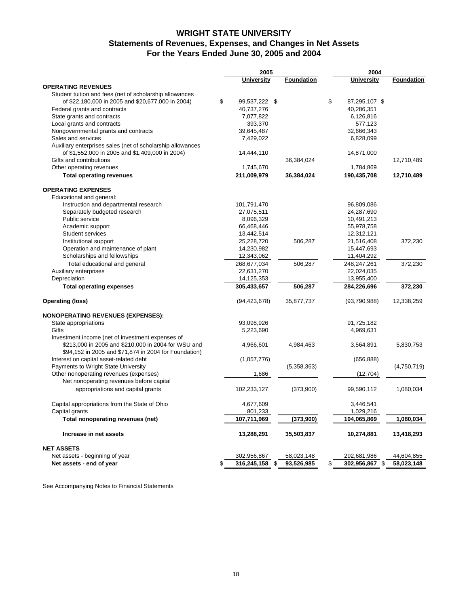## **WRIGHT STATE UNIVERSITY Statements of Revenues, Expenses, and Changes in Net Assets For the Years Ended June 30, 2005 and 2004**

|                                                                                                              | 2005                 |                   |    | 2004              |             |  |
|--------------------------------------------------------------------------------------------------------------|----------------------|-------------------|----|-------------------|-------------|--|
|                                                                                                              | <b>University</b>    | <b>Foundation</b> |    | <b>University</b> | Foundation  |  |
| <b>OPERATING REVENUES</b>                                                                                    |                      |                   |    |                   |             |  |
| Student tuition and fees (net of scholarship allowances                                                      |                      |                   |    |                   |             |  |
| of \$22,180,000 in 2005 and \$20,677,000 in 2004)                                                            | \$<br>99,537,222 \$  |                   | \$ | 87,295,107 \$     |             |  |
| Federal grants and contracts                                                                                 | 40,737,276           |                   |    | 40,286,351        |             |  |
| State grants and contracts                                                                                   | 7,077,822            |                   |    | 6,126,816         |             |  |
| Local grants and contracts                                                                                   | 393,370              |                   |    | 577,123           |             |  |
| Nongovernmental grants and contracts                                                                         | 39,645,487           |                   |    | 32,666,343        |             |  |
| Sales and services                                                                                           | 7,429,022            |                   |    | 6,828,099         |             |  |
| Auxiliary enterprises sales (net of scholarship allowances                                                   |                      |                   |    |                   |             |  |
| of \$1,552,000 in 2005 and \$1,409,000 in 2004)                                                              | 14,444,110           |                   |    | 14,871,000        |             |  |
| Gifts and contributions                                                                                      |                      | 36,384,024        |    |                   | 12,710,489  |  |
| Other operating revenues                                                                                     | 1,745,670            |                   |    | 1,784,869         |             |  |
| <b>Total operating revenues</b>                                                                              | 211,009,979          | 36,384,024        |    | 190,435,708       | 12,710,489  |  |
| <b>OPERATING EXPENSES</b>                                                                                    |                      |                   |    |                   |             |  |
| Educational and general:                                                                                     |                      |                   |    |                   |             |  |
| Instruction and departmental research                                                                        | 101,791,470          |                   |    | 96,809,086        |             |  |
| Separately budgeted research                                                                                 | 27,075,511           |                   |    | 24,287,690        |             |  |
| Public service                                                                                               | 8,096,329            |                   |    | 10,491,213        |             |  |
| Academic support                                                                                             | 66,468,446           |                   |    | 55,978,758        |             |  |
| <b>Student services</b>                                                                                      | 13,442,514           |                   |    | 12,312,121        |             |  |
| Institutional support                                                                                        | 25,228,720           | 506,287           |    | 21,516,408        | 372,230     |  |
| Operation and maintenance of plant                                                                           | 14,230,982           |                   |    | 15,447,693        |             |  |
| Scholarships and fellowships                                                                                 | 12,343,062           |                   |    | 11,404,292        |             |  |
|                                                                                                              | 268,677,034          | 506,287           |    | 248,247,261       | 372,230     |  |
| Total educational and general                                                                                |                      |                   |    |                   |             |  |
| Auxiliary enterprises<br>Depreciation                                                                        | 22,631,270           |                   |    | 22,024,035        |             |  |
|                                                                                                              | 14,125,353           |                   |    | 13,955,400        |             |  |
| <b>Total operating expenses</b>                                                                              | 305,433,657          | 506,287           |    | 284,226,696       | 372,230     |  |
| <b>Operating (loss)</b>                                                                                      | (94, 423, 678)       | 35,877,737        |    | (93,790,988)      | 12,338,259  |  |
| <b>NONOPERATING REVENUES (EXPENSES):</b>                                                                     |                      |                   |    |                   |             |  |
| State appropriations                                                                                         | 93,098,926           |                   |    | 91,725,182        |             |  |
| Gifts                                                                                                        | 5,223,690            |                   |    | 4,969,631         |             |  |
| Investment income (net of investment expenses of                                                             |                      |                   |    |                   |             |  |
| \$213,000 in 2005 and \$210,000 in 2004 for WSU and<br>\$94,152 in 2005 and \$71,874 in 2004 for Foundation) | 4,966,601            | 4,984,463         |    | 3,564,891         | 5,830,753   |  |
| Interest on capital asset-related debt                                                                       | (1,057,776)          |                   |    | (656, 888)        |             |  |
| Payments to Wright State University                                                                          |                      | (5,358,363)       |    |                   | (4,750,719) |  |
| Other nonoperating revenues (expenses)                                                                       | 1,686                |                   |    | (12,704)          |             |  |
| Net nonoperating revenues before capital                                                                     |                      |                   |    |                   |             |  |
| appropriations and capital grants                                                                            | 102,233,127          | (373,900)         |    | 99,590,112        | 1,080,034   |  |
| Capital appropriations from the State of Ohio                                                                | 4,677,609            |                   |    | 3,446,541         |             |  |
| Capital grants                                                                                               | 801,233              |                   |    | 1,029,216         |             |  |
| Total nonoperating revenues (net)                                                                            | 107,711,969          | (373,900)         |    | 104,065,869       | 1,080,034   |  |
| Increase in net assets                                                                                       | 13,288,291           | 35,503,837        |    | 10,274,881        | 13,418,293  |  |
| <b>NET ASSETS</b>                                                                                            |                      |                   |    |                   |             |  |
| Net assets - beginning of year                                                                               | 302,956,867          | 58,023,148        |    | 292,681,986       | 44,604,855  |  |
| Net assets - end of year                                                                                     | \$<br>316,245,158 \$ | 93,526,985        | \$ | 302,956,867 \$    | 58,023,148  |  |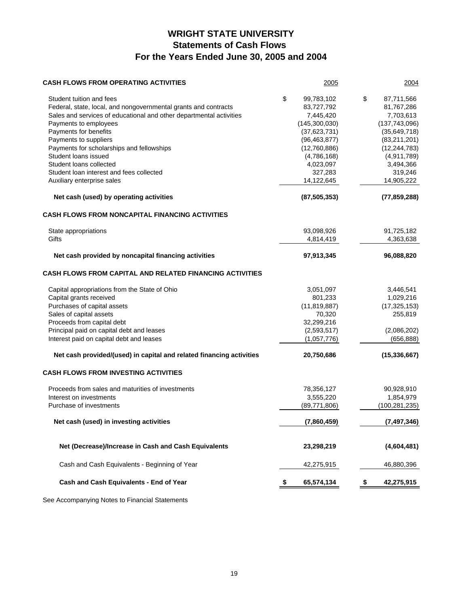# **WRIGHT STATE UNIVERSITY Statements of Cash Flows For the Years Ended June 30, 2005 and 2004**

| <b>CASH FLOWS FROM OPERATING ACTIVITIES</b>                                                                                                                        | 2005                                              |    | 2004                                            |
|--------------------------------------------------------------------------------------------------------------------------------------------------------------------|---------------------------------------------------|----|-------------------------------------------------|
| Student tuition and fees<br>Federal, state, local, and nongovernmental grants and contracts<br>Sales and services of educational and other departmental activities | \$<br>99,783,102<br>83,727,792<br>7,445,420       | \$ | 87,711,566<br>81,767,286<br>7,703,613           |
| Payments to employees<br>Payments for benefits<br>Payments to suppliers                                                                                            | (145, 300, 030)<br>(37,623,731)<br>(96, 463, 877) |    | (137,743,096)<br>(35,649,718)<br>(83, 211, 201) |
| Payments for scholarships and fellowships<br>Student loans issued<br>Student loans collected                                                                       | (12,760,886)<br>(4,786,168)                       |    | (12, 244, 783)<br>(4,911,789)                   |
| Student loan interest and fees collected<br>Auxiliary enterprise sales                                                                                             | 4,023,097<br>327,283<br>14,122,645                |    | 3,494,366<br>319,246<br>14,905,222              |
| Net cash (used) by operating activities                                                                                                                            | (87, 505, 353)                                    |    | (77, 859, 288)                                  |
| <b>CASH FLOWS FROM NONCAPITAL FINANCING ACTIVITIES</b>                                                                                                             |                                                   |    |                                                 |
| State appropriations<br>Gifts                                                                                                                                      | 93,098,926<br>4,814,419                           |    | 91,725,182<br>4,363,638                         |
| Net cash provided by noncapital financing activities                                                                                                               | 97,913,345                                        |    | 96,088,820                                      |
| <b>CASH FLOWS FROM CAPITAL AND RELATED FINANCING ACTIVITIES</b>                                                                                                    |                                                   |    |                                                 |
| Capital appropriations from the State of Ohio<br>Capital grants received                                                                                           | 3,051,097<br>801,233                              |    | 3,446,541<br>1,029,216                          |
| Purchases of capital assets<br>Sales of capital assets<br>Proceeds from capital debt                                                                               | (11, 819, 887)<br>70,320                          |    | (17, 325, 153)<br>255,819                       |
| Principal paid on capital debt and leases<br>Interest paid on capital debt and leases                                                                              | 32,299,216<br>(2,593,517)<br>(1,057,776)          |    | (2,086,202)<br>(656, 888)                       |
| Net cash provided/(used) in capital and related financing activities                                                                                               | 20,750,686                                        |    | (15, 336, 667)                                  |
| <b>CASH FLOWS FROM INVESTING ACTIVITIES</b>                                                                                                                        |                                                   |    |                                                 |
| Proceeds from sales and maturities of investments<br>Interest on investments<br>Purchase of investments                                                            | 78,356,127<br>3,555,220<br>(89,771,806)           |    | 90,928,910<br>1,854,979<br>(100, 281, 235)      |
| Net cash (used) in investing activities                                                                                                                            | (7,860,459)                                       |    | (7, 497, 346)                                   |
| Net (Decrease)/Increase in Cash and Cash Equivalents                                                                                                               | 23,298,219                                        |    | (4,604,481)                                     |
| Cash and Cash Equivalents - Beginning of Year                                                                                                                      | 42,275,915                                        |    | 46,880,396                                      |
| Cash and Cash Equivalents - End of Year                                                                                                                            | 65,574,134                                        | P  | 42,275,915                                      |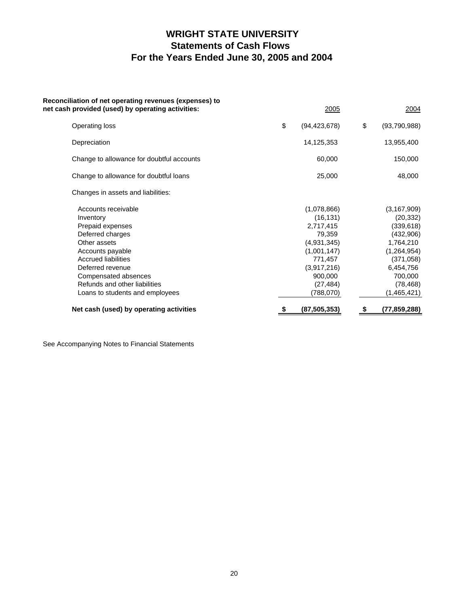# **WRIGHT STATE UNIVERSITY Statements of Cash Flows For the Years Ended June 30, 2005 and 2004**

| Reconciliation of net operating revenues (expenses) to<br>net cash provided (used) by operating activities: | 2005                 | 2004               |
|-------------------------------------------------------------------------------------------------------------|----------------------|--------------------|
| Operating loss                                                                                              | \$<br>(94, 423, 678) | \$<br>(93,790,988) |
| Depreciation                                                                                                | 14,125,353           | 13,955,400         |
| Change to allowance for doubtful accounts                                                                   | 60,000               | 150,000            |
| Change to allowance for doubtful loans                                                                      | 25,000               | 48,000             |
| Changes in assets and liabilities:                                                                          |                      |                    |
| Accounts receivable                                                                                         | (1,078,866)          | (3, 167, 909)      |
| Inventory                                                                                                   | (16, 131)            | (20, 332)          |
| Prepaid expenses                                                                                            | 2,717,415            | (339, 618)         |
| Deferred charges                                                                                            | 79,359               | (432,906)          |
| Other assets                                                                                                | (4,931,345)          | 1,764,210          |
| Accounts payable                                                                                            | (1,001,147)          | (1, 264, 954)      |
| <b>Accrued liabilities</b>                                                                                  | 771,457              | (371, 058)         |
| Deferred revenue                                                                                            | (3,917,216)          | 6,454,756          |
| Compensated absences                                                                                        | 900,000              | 700,000            |
| Refunds and other liabilities                                                                               | (27, 484)            | (78, 468)          |
| Loans to students and employees                                                                             | (788,070)            | (1,465,421)        |
| Net cash (used) by operating activities                                                                     | \$<br>(87, 505, 353) | \$<br>(77,859,288) |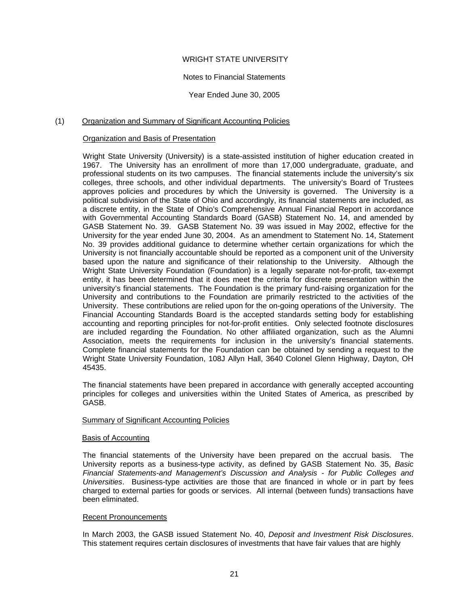## WRIGHT STATE UNIVERSITY

#### Notes to Financial Statements

Year Ended June 30, 2005

## (1) Organization and Summary of Significant Accounting Policies

## Organization and Basis of Presentation

Wright State University (University) is a state-assisted institution of higher education created in 1967. The University has an enrollment of more than 17,000 undergraduate, graduate, and professional students on its two campuses. The financial statements include the university's six colleges, three schools, and other individual departments. The university's Board of Trustees approves policies and procedures by which the University is governed. The University is a political subdivision of the State of Ohio and accordingly, its financial statements are included, as a discrete entity, in the State of Ohio's Comprehensive Annual Financial Report in accordance with Governmental Accounting Standards Board (GASB) Statement No. 14, and amended by GASB Statement No. 39. GASB Statement No. 39 was issued in May 2002, effective for the University for the year ended June 30, 2004. As an amendment to Statement No. 14, Statement No. 39 provides additional guidance to determine whether certain organizations for which the University is not financially accountable should be reported as a component unit of the University based upon the nature and significance of their relationship to the University. Although the Wright State University Foundation (Foundation) is a legally separate not-for-profit, tax-exempt entity, it has been determined that it does meet the criteria for discrete presentation within the university's financial statements. The Foundation is the primary fund-raising organization for the University and contributions to the Foundation are primarily restricted to the activities of the University. These contributions are relied upon for the on-going operations of the University. The Financial Accounting Standards Board is the accepted standards setting body for establishing accounting and reporting principles for not-for-profit entities. Only selected footnote disclosures are included regarding the Foundation. No other affiliated organization, such as the Alumni Association, meets the requirements for inclusion in the university's financial statements. Complete financial statements for the Foundation can be obtained by sending a request to the Wright State University Foundation, 108J Allyn Hall, 3640 Colonel Glenn Highway, Dayton, OH 45435.

The financial statements have been prepared in accordance with generally accepted accounting principles for colleges and universities within the United States of America, as prescribed by GASB.

#### Summary of Significant Accounting Policies

#### Basis of Accounting

The financial statements of the University have been prepared on the accrual basis. The University reports as a business-type activity, as defined by GASB Statement No. 35, *Basic Financial Statements-and Management's Discussion and Analysis - for Public Colleges and Universities*. Business-type activities are those that are financed in whole or in part by fees charged to external parties for goods or services. All internal (between funds) transactions have been eliminated.

#### Recent Pronouncements

In March 2003, the GASB issued Statement No. 40, *Deposit and Investment Risk Disclosures*. This statement requires certain disclosures of investments that have fair values that are highly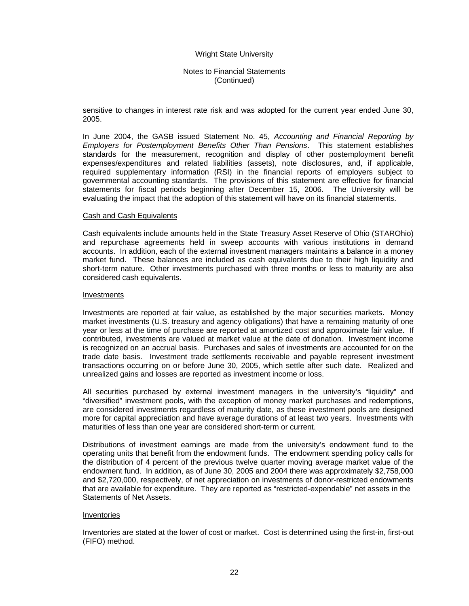## Notes to Financial Statements (Continued)

sensitive to changes in interest rate risk and was adopted for the current year ended June 30, 2005.

In June 2004, the GASB issued Statement No. 45, *Accounting and Financial Reporting by Employers for Postemployment Benefits Other Than Pensions*. This statement establishes standards for the measurement, recognition and display of other postemployment benefit expenses/expenditures and related liabilities (assets), note disclosures, and, if applicable, required supplementary information (RSI) in the financial reports of employers subject to governmental accounting standards. The provisions of this statement are effective for financial statements for fiscal periods beginning after December 15, 2006. The University will be evaluating the impact that the adoption of this statement will have on its financial statements.

#### Cash and Cash Equivalents

Cash equivalents include amounts held in the State Treasury Asset Reserve of Ohio (STAROhio) and repurchase agreements held in sweep accounts with various institutions in demand accounts. In addition, each of the external investment managers maintains a balance in a money market fund. These balances are included as cash equivalents due to their high liquidity and short-term nature. Other investments purchased with three months or less to maturity are also considered cash equivalents.

#### Investments

Investments are reported at fair value, as established by the major securities markets. Money market investments (U.S. treasury and agency obligations) that have a remaining maturity of one year or less at the time of purchase are reported at amortized cost and approximate fair value. If contributed, investments are valued at market value at the date of donation. Investment income is recognized on an accrual basis. Purchases and sales of investments are accounted for on the trade date basis. Investment trade settlements receivable and payable represent investment transactions occurring on or before June 30, 2005, which settle after such date. Realized and unrealized gains and losses are reported as investment income or loss.

All securities purchased by external investment managers in the university's "liquidity" and "diversified" investment pools, with the exception of money market purchases and redemptions, are considered investments regardless of maturity date, as these investment pools are designed more for capital appreciation and have average durations of at least two years. Investments with maturities of less than one year are considered short-term or current.

Distributions of investment earnings are made from the university's endowment fund to the operating units that benefit from the endowment funds. The endowment spending policy calls for the distribution of 4 percent of the previous twelve quarter moving average market value of the endowment fund. In addition, as of June 30, 2005 and 2004 there was approximately \$2,758,000 and \$2,720,000, respectively, of net appreciation on investments of donor-restricted endowments that are available for expenditure. They are reported as "restricted-expendable" net assets in the Statements of Net Assets.

#### Inventories

Inventories are stated at the lower of cost or market. Cost is determined using the first-in, first-out (FIFO) method.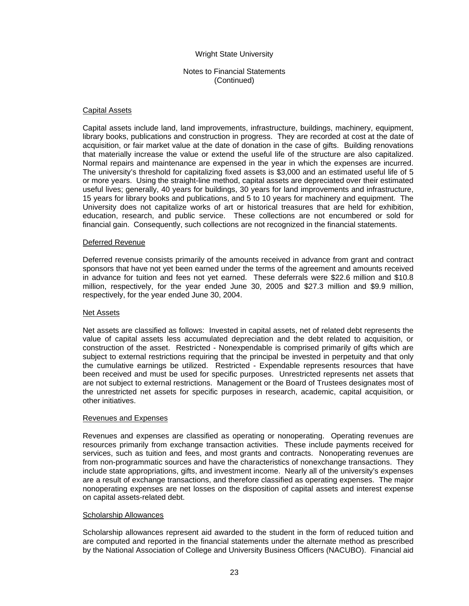## Notes to Financial Statements (Continued)

#### Capital Assets

Capital assets include land, land improvements, infrastructure, buildings, machinery, equipment, library books, publications and construction in progress. They are recorded at cost at the date of acquisition, or fair market value at the date of donation in the case of gifts. Building renovations that materially increase the value or extend the useful life of the structure are also capitalized. Normal repairs and maintenance are expensed in the year in which the expenses are incurred. The university's threshold for capitalizing fixed assets is \$3,000 and an estimated useful life of 5 or more years. Using the straight-line method, capital assets are depreciated over their estimated useful lives; generally, 40 years for buildings, 30 years for land improvements and infrastructure, 15 years for library books and publications, and 5 to 10 years for machinery and equipment. The University does not capitalize works of art or historical treasures that are held for exhibition, education, research, and public service. These collections are not encumbered or sold for financial gain. Consequently, such collections are not recognized in the financial statements.

#### Deferred Revenue

Deferred revenue consists primarily of the amounts received in advance from grant and contract sponsors that have not yet been earned under the terms of the agreement and amounts received in advance for tuition and fees not yet earned. These deferrals were \$22.6 million and \$10.8 million, respectively, for the year ended June 30, 2005 and \$27.3 million and \$9.9 million, respectively, for the year ended June 30, 2004.

#### Net Assets

Net assets are classified as follows: Invested in capital assets, net of related debt represents the value of capital assets less accumulated depreciation and the debt related to acquisition, or construction of the asset. Restricted - Nonexpendable is comprised primarily of gifts which are subject to external restrictions requiring that the principal be invested in perpetuity and that only the cumulative earnings be utilized. Restricted - Expendable represents resources that have been received and must be used for specific purposes. Unrestricted represents net assets that are not subject to external restrictions. Management or the Board of Trustees designates most of the unrestricted net assets for specific purposes in research, academic, capital acquisition, or other initiatives.

#### Revenues and Expenses

Revenues and expenses are classified as operating or nonoperating. Operating revenues are resources primarily from exchange transaction activities. These include payments received for services, such as tuition and fees, and most grants and contracts. Nonoperating revenues are from non-programmatic sources and have the characteristics of nonexchange transactions. They include state appropriations, gifts, and investment income. Nearly all of the university's expenses are a result of exchange transactions, and therefore classified as operating expenses. The major nonoperating expenses are net losses on the disposition of capital assets and interest expense on capital assets-related debt.

#### Scholarship Allowances

Scholarship allowances represent aid awarded to the student in the form of reduced tuition and are computed and reported in the financial statements under the alternate method as prescribed by the National Association of College and University Business Officers (NACUBO). Financial aid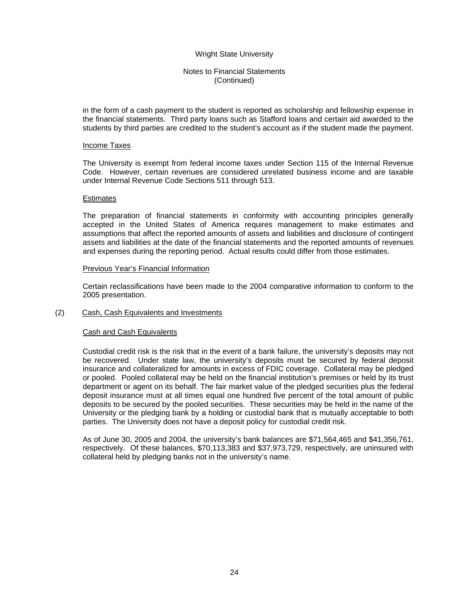## Notes to Financial Statements (Continued)

in the form of a cash payment to the student is reported as scholarship and fellowship expense in the financial statements. Third party loans such as Stafford loans and certain aid awarded to the students by third parties are credited to the student's account as if the student made the payment.

#### Income Taxes

The University is exempt from federal income taxes under Section 115 of the Internal Revenue Code. However, certain revenues are considered unrelated business income and are taxable under Internal Revenue Code Sections 511 through 513.

#### **Estimates**

The preparation of financial statements in conformity with accounting principles generally accepted in the United States of America requires management to make estimates and assumptions that affect the reported amounts of assets and liabilities and disclosure of contingent assets and liabilities at the date of the financial statements and the reported amounts of revenues and expenses during the reporting period. Actual results could differ from those estimates.

#### Previous Year's Financial Information

Certain reclassifications have been made to the 2004 comparative information to conform to the 2005 presentation.

#### (2) Cash, Cash Equivalents and Investments

#### Cash and Cash Equivalents

Custodial credit risk is the risk that in the event of a bank failure, the university's deposits may not be recovered. Under state law, the university's deposits must be secured by federal deposit insurance and collateralized for amounts in excess of FDIC coverage. Collateral may be pledged or pooled. Pooled collateral may be held on the financial institution's premises or held by its trust department or agent on its behalf. The fair market value of the pledged securities plus the federal deposit insurance must at all times equal one hundred five percent of the total amount of public deposits to be secured by the pooled securities. These securities may be held in the name of the University or the pledging bank by a holding or custodial bank that is mutually acceptable to both parties. The University does not have a deposit policy for custodial credit risk.

As of June 30, 2005 and 2004, the university's bank balances are \$71,564,465 and \$41,356,761, respectively. Of these balances, \$70,113,383 and \$37,973,729, respectively, are uninsured with collateral held by pledging banks not in the university's name.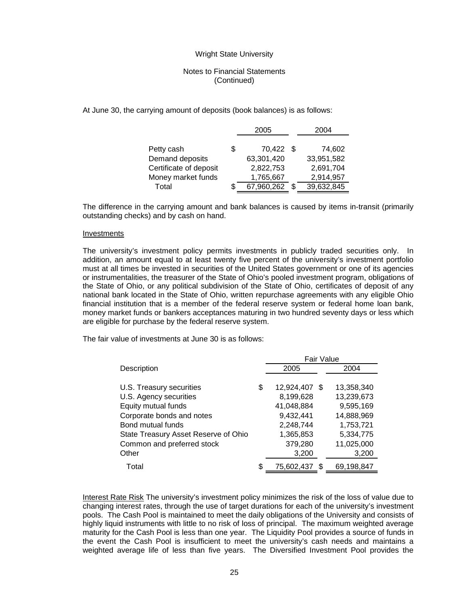## Notes to Financial Statements (Continued)

At June 30, the carrying amount of deposits (book balances) is as follows:

|                        |   | 2005       | 2004 |            |  |
|------------------------|---|------------|------|------------|--|
| Petty cash             | S | 70,422 \$  |      | 74,602     |  |
| Demand deposits        |   | 63,301,420 |      | 33,951,582 |  |
| Certificate of deposit |   | 2,822,753  |      | 2,691,704  |  |
| Money market funds     |   | 1,765,667  |      | 2,914,957  |  |
| Total                  |   | 67,960,262 |      | 39,632,845 |  |
|                        |   |            |      |            |  |

The difference in the carrying amount and bank balances is caused by items in-transit (primarily outstanding checks) and by cash on hand.

#### Investments

The university's investment policy permits investments in publicly traded securities only. In addition, an amount equal to at least twenty five percent of the university's investment portfolio must at all times be invested in securities of the United States government or one of its agencies or instrumentalities, the treasurer of the State of Ohio's pooled investment program, obligations of the State of Ohio, or any political subdivision of the State of Ohio, certificates of deposit of any national bank located in the State of Ohio, written repurchase agreements with any eligible Ohio financial institution that is a member of the federal reserve system or federal home loan bank, money market funds or bankers acceptances maturing in two hundred seventy days or less which are eligible for purchase by the federal reserve system.

The fair value of investments at June 30 is as follows:

|                                      | <b>Fair Value</b>        |            |
|--------------------------------------|--------------------------|------------|
| Description                          | 2005                     | 2004       |
|                                      |                          |            |
| U.S. Treasury securities             | \$<br>12,924,407<br>- \$ | 13,358,340 |
| U.S. Agency securities               | 8,199,628                | 13,239,673 |
| Equity mutual funds                  | 41,048,884               | 9,595,169  |
| Corporate bonds and notes            | 9,432,441                | 14,888,969 |
| Bond mutual funds                    | 2,248,744                | 1,753,721  |
| State Treasury Asset Reserve of Ohio | 1,365,853                | 5,334,775  |
| Common and preferred stock           | 379,280                  | 11,025,000 |
| Other                                | 3,200                    | 3,200      |
| Total                                | \$<br>75,602,437         | 69,198,847 |

Interest Rate Risk The university's investment policy minimizes the risk of the loss of value due to changing interest rates, through the use of target durations for each of the university's investment pools. The Cash Pool is maintained to meet the daily obligations of the University and consists of highly liquid instruments with little to no risk of loss of principal. The maximum weighted average maturity for the Cash Pool is less than one year. The Liquidity Pool provides a source of funds in the event the Cash Pool is insufficient to meet the university's cash needs and maintains a weighted average life of less than five years. The Diversified Investment Pool provides the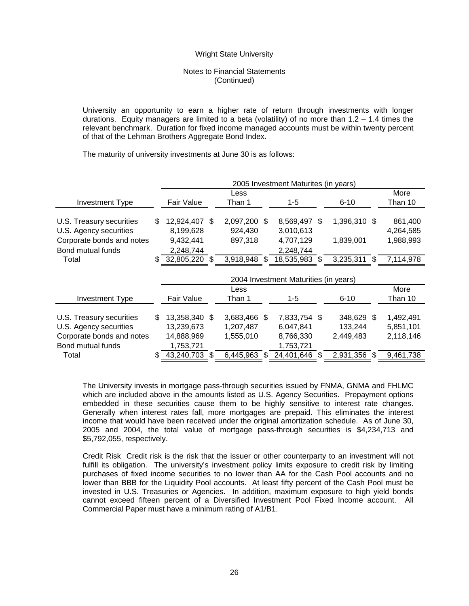## Notes to Financial Statements (Continued)

University an opportunity to earn a higher rate of return through investments with longer durations. Equity managers are limited to a beta (volatility) of no more than  $1.2 - 1.4$  times the relevant benchmark. Duration for fixed income managed accounts must be within twenty percent of that of the Lehman Brothers Aggregate Bond Index.

The maturity of university investments at June 30 is as follows:

|                           |     | 2005 Investment Maturites (in years)  |     |              |    |              |     |              |  |           |
|---------------------------|-----|---------------------------------------|-----|--------------|----|--------------|-----|--------------|--|-----------|
|                           |     |                                       |     | Less         |    |              |     |              |  | More      |
| <b>Investment Type</b>    |     | Fair Value                            |     | Than 1       |    | 1-5          |     | $6 - 10$     |  | Than 10   |
|                           |     |                                       |     |              |    |              |     |              |  |           |
| U.S. Treasury securities  | \$. | 12,924,407                            | \$. | 2,097,200 \$ |    | 8,569,497    | \$. | 1,396,310 \$ |  | 861,400   |
| U.S. Agency securities    |     | 8,199,628                             |     | 924,430      |    | 3,010,613    |     |              |  | 4,264,585 |
| Corporate bonds and notes |     | 9,432,441                             |     | 897,318      |    | 4,707,129    |     | 1,839,001    |  | 1,988,993 |
| Bond mutual funds         |     | 2,248,744                             |     |              |    | 2,248,744    |     |              |  |           |
| Total                     | \$. | 32,805,220                            | S   | 3,918,948    | S. | 18,535,983   |     | 3,235,311 \$ |  | 7,114,978 |
|                           |     |                                       |     |              |    |              |     |              |  |           |
|                           |     | 2004 Investment Maturities (in years) |     |              |    |              |     |              |  |           |
|                           |     |                                       |     |              |    |              |     |              |  |           |
|                           |     |                                       |     | Less         |    |              |     |              |  | More      |
| <b>Investment Type</b>    |     | Fair Value                            |     | Than 1       |    | 1-5          |     | $6 - 10$     |  | Than 10   |
|                           |     |                                       |     |              |    |              |     |              |  |           |
| U.S. Treasury securities  | \$  | 13,358,340 \$                         |     | 3,683,466 \$ |    | 7,833,754 \$ |     | 348,629 \$   |  | 1,492,491 |
| U.S. Agency securities    |     | 13,239,673                            |     | 1,207,487    |    | 6,047,841    |     | 133,244      |  | 5,851,101 |
| Corporate bonds and notes |     | 14,888,969                            |     | 1,555,010    |    | 8,766,330    |     | 2,449,483    |  | 2,118,146 |
| Bond mutual funds         |     | 1,753,721                             |     |              |    | 1,753,721    |     |              |  |           |

The University invests in mortgage pass-through securities issued by FNMA, GNMA and FHLMC which are included above in the amounts listed as U.S. Agency Securities. Prepayment options embedded in these securities cause them to be highly sensitive to interest rate changes. Generally when interest rates fall, more mortgages are prepaid. This eliminates the interest income that would have been received under the original amortization schedule. As of June 30, 2005 and 2004, the total value of mortgage pass-through securities is \$4,234,713 and \$5,792,055, respectively.

Credit Risk Credit risk is the risk that the issuer or other counterparty to an investment will not fulfill its obligation. The university's investment policy limits exposure to credit risk by limiting purchases of fixed income securities to no lower than AA for the Cash Pool accounts and no lower than BBB for the Liquidity Pool accounts. At least fifty percent of the Cash Pool must be invested in U.S. Treasuries or Agencies. In addition, maximum exposure to high yield bonds cannot exceed fifteen percent of a Diversified Investment Pool Fixed Income account. All Commercial Paper must have a minimum rating of A1/B1.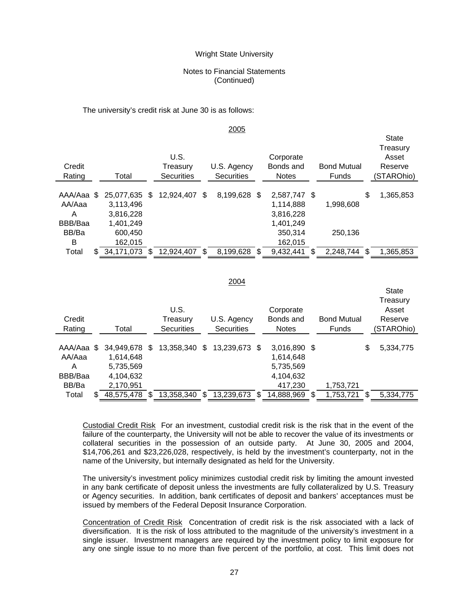## Notes to Financial Statements (Continued)

The university's credit risk at June 30 is as follows:

#### 2005

 $C_{\text{total}}$ 

**State** 

| Credit<br>Rating      |     | Total                             | U.S.<br>Treasurv<br><b>Securities</b> |      | U.S. Agency<br><b>Securities</b> | Corporate<br>Bonds and<br><b>Notes</b> | <b>Bond Mutual</b><br>Funds |     | Sidit<br>Treasury<br>Asset<br>Reserve<br>(STAROhio) |
|-----------------------|-----|-----------------------------------|---------------------------------------|------|----------------------------------|----------------------------------------|-----------------------------|-----|-----------------------------------------------------|
| AAA/Aaa<br>AA/Aaa     | S.  | 25,077,635<br>3,113,496           | \$<br>12,924,407                      | - \$ | 8,199,628 \$                     | 2,587,747 \$<br>1,114,888              | 1,998,608                   | \$  | 1,365,853                                           |
| Α<br>BBB/Baa<br>BB/Ba |     | 3,816,228<br>1,401,249<br>600,450 |                                       |      |                                  | 3,816,228<br>1,401,249<br>350,314      | 250,136                     |     |                                                     |
| в<br>Total            | \$. | 162,015<br>34,171,073             | 12,924,407                            | \$.  | 8,199,628                        | \$<br>162,015<br>9,432,441             | 2,248,744                   | \$. | 1,365,853                                           |

#### 2004

| Credit<br>Rating |    | Total      |     | U.S.<br>Treasury<br><b>Securities</b> |   | U.S. Agency<br><b>Securities</b> |     | Corporate<br>Bonds and<br><b>Notes</b> | <b>Bond Mutual</b><br><b>Funds</b> | Treasury<br>Asset<br>Reserve<br>(STAROhio) |
|------------------|----|------------|-----|---------------------------------------|---|----------------------------------|-----|----------------------------------------|------------------------------------|--------------------------------------------|
| AAA/Aaa          | S. | 34.949.678 | \$. | 13,358,340 \$                         |   | 13.239.673 \$                    |     | 3,016,890 \$                           |                                    | \$<br>5,334,775                            |
| AA/Aaa           |    | 1,614,648  |     |                                       |   |                                  |     | 1,614,648                              |                                    |                                            |
| Α                |    | 5,735,569  |     |                                       |   |                                  |     | 5,735,569                              |                                    |                                            |
| BBB/Baa          |    | 4,104,632  |     |                                       |   |                                  |     | 4,104,632                              |                                    |                                            |
| BB/Ba            |    | 2,170,951  |     |                                       |   |                                  |     | 417,230                                | 1,753,721                          |                                            |
| Total            | S  | 48.575.478 | æ.  | 13,358,340                            | S | 13,239,673                       | \$. | 14,888,969                             | 1,753,721                          | \$<br>5,334,775                            |

Custodial Credit Risk For an investment, custodial credit risk is the risk that in the event of the failure of the counterparty, the University will not be able to recover the value of its investments or collateral securities in the possession of an outside party. At June 30, 2005 and 2004, \$14,706,261 and \$23,226,028, respectively, is held by the investment's counterparty, not in the name of the University, but internally designated as held for the University.

The university's investment policy minimizes custodial credit risk by limiting the amount invested in any bank certificate of deposit unless the investments are fully collateralized by U.S. Treasury or Agency securities. In addition, bank certificates of deposit and bankers' acceptances must be issued by members of the Federal Deposit Insurance Corporation.

Concentration of Credit Risk Concentration of credit risk is the risk associated with a lack of diversification. It is the risk of loss attributed to the magnitude of the university's investment in a single issuer. Investment managers are required by the investment policy to limit exposure for any one single issue to no more than five percent of the portfolio, at cost. This limit does not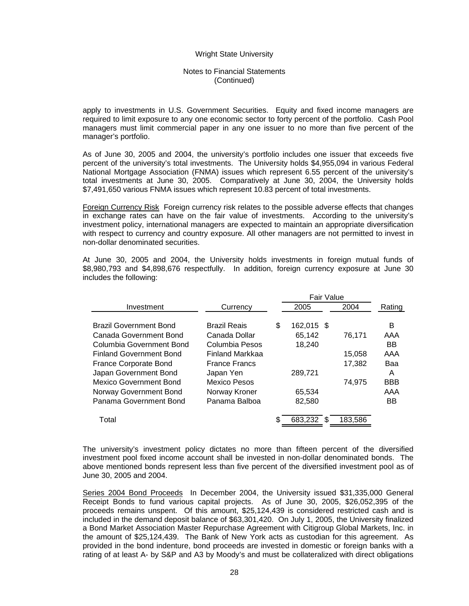#### Notes to Financial Statements (Continued)

apply to investments in U.S. Government Securities. Equity and fixed income managers are required to limit exposure to any one economic sector to forty percent of the portfolio. Cash Pool managers must limit commercial paper in any one issuer to no more than five percent of the manager's portfolio.

As of June 30, 2005 and 2004, the university's portfolio includes one issuer that exceeds five percent of the university's total investments. The University holds \$4,955,094 in various Federal National Mortgage Association (FNMA) issues which represent 6.55 percent of the university's total investments at June 30, 2005. Comparatively at June 30, 2004, the University holds \$7,491,650 various FNMA issues which represent 10.83 percent of total investments.

Foreign Currency Risk Foreign currency risk relates to the possible adverse effects that changes in exchange rates can have on the fair value of investments. According to the university's investment policy, international managers are expected to maintain an appropriate diversification with respect to currency and country exposure. All other managers are not permitted to invest in non-dollar denominated securities.

At June 30, 2005 and 2004, the University holds investments in foreign mutual funds of \$8,980,793 and \$4,898,676 respectfully. In addition, foreign currency exposure at June 30 includes the following:

|                                |                      |    | Fair Value   |         |            |  |
|--------------------------------|----------------------|----|--------------|---------|------------|--|
| Investment                     | Currency             |    | 2005         | 2004    | Rating     |  |
| <b>Brazil Government Bond</b>  | <b>Brazil Reais</b>  | \$ | 162,015 \$   |         | В          |  |
| Canada Government Bond         | Canada Dollar        |    | 65,142       | 76,171  | AAA        |  |
| Columbia Government Bond       | Columbia Pesos       |    | 18,240       |         | <b>BB</b>  |  |
| <b>Finland Government Bond</b> | Finland Markkaa      |    |              | 15,058  | AAA        |  |
| France Corporate Bond          | <b>France Francs</b> |    |              | 17.382  | Baa        |  |
| Japan Government Bond          | Japan Yen            |    | 289,721      |         | A          |  |
| <b>Mexico Government Bond</b>  | <b>Mexico Pesos</b>  |    |              | 74.975  | <b>BBB</b> |  |
| Norway Government Bond         | Norway Kroner        |    | 65,534       |         | AAA        |  |
| Panama Government Bond         | Panama Balboa        |    | 82,580       |         | BB         |  |
| Total                          |                      | S. | 683,232<br>S | 183,586 |            |  |

The university's investment policy dictates no more than fifteen percent of the diversified investment pool fixed income account shall be invested in non-dollar denominated bonds. The above mentioned bonds represent less than five percent of the diversified investment pool as of June 30, 2005 and 2004.

Series 2004 Bond Proceeds In December 2004, the University issued \$31,335,000 General Receipt Bonds to fund various capital projects. As of June 30, 2005, \$26,052,395 of the proceeds remains unspent. Of this amount, \$25,124,439 is considered restricted cash and is included in the demand deposit balance of \$63,301,420. On July 1, 2005, the University finalized a Bond Market Association Master Repurchase Agreement with Citigroup Global Markets, Inc. in the amount of \$25,124,439. The Bank of New York acts as custodian for this agreement. As provided in the bond indenture, bond proceeds are invested in domestic or foreign banks with a rating of at least A- by S&P and A3 by Moody's and must be collateralized with direct obligations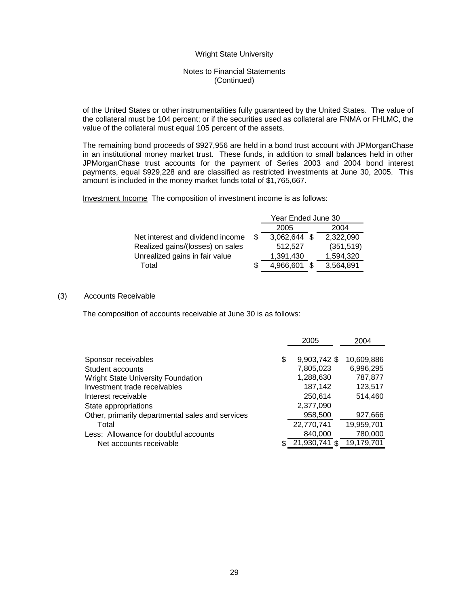## Notes to Financial Statements (Continued)

of the United States or other instrumentalities fully guaranteed by the United States. The value of the collateral must be 104 percent; or if the securities used as collateral are FNMA or FHLMC, the value of the collateral must equal 105 percent of the assets.

The remaining bond proceeds of \$927,956 are held in a bond trust account with JPMorganChase in an institutional money market trust. These funds, in addition to small balances held in other JPMorganChase trust accounts for the payment of Series 2003 and 2004 bond interest payments, equal \$929,228 and are classified as restricted investments at June 30, 2005. This amount is included in the money market funds total of \$1,765,667.

Investment Income The composition of investment income is as follows:

|                                  | Year Ended June 30 |  |              |  |  |  |
|----------------------------------|--------------------|--|--------------|--|--|--|
|                                  | 2005               |  | 2004         |  |  |  |
| \$.                              |                    |  | 2,322,090    |  |  |  |
|                                  | 512,527            |  | (351, 519)   |  |  |  |
|                                  | 1,391,430          |  | 1,594,320    |  |  |  |
| S                                | 4,966,601          |  | 3,564,891    |  |  |  |
| Net interest and dividend income |                    |  | 3,062,644 \$ |  |  |  |

#### (3) Accounts Receivable

The composition of accounts receivable at June 30 is as follows:

|                                                  | 2005               | 2004       |
|--------------------------------------------------|--------------------|------------|
| Sponsor receivables                              | \$<br>9,903,742 \$ | 10,609,886 |
| Student accounts                                 | 7,805,023          | 6,996,295  |
| <b>Wright State University Foundation</b>        | 1,288,630          | 787,877    |
| Investment trade receivables                     | 187,142            | 123,517    |
| Interest receivable                              | 250,614            | 514,460    |
| State appropriations                             | 2,377,090          |            |
| Other, primarily departmental sales and services | 958,500            | 927,666    |
| Total                                            | 22,770,741         | 19,959,701 |
| Less: Allowance for doubtful accounts            | 840,000            | 780,000    |
| Net accounts receivable                          | 21,930,741         | 19,179,701 |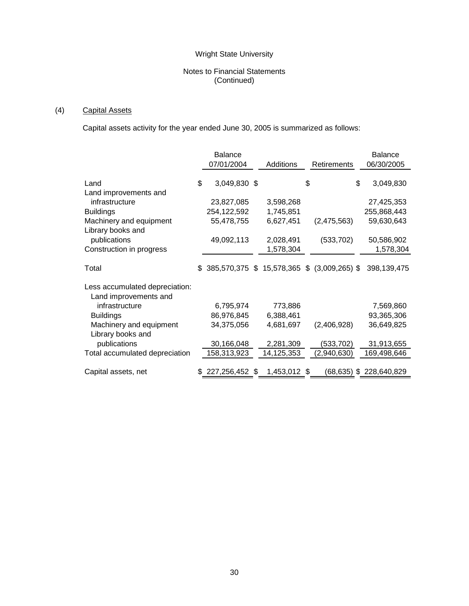## Notes to Financial Statements (Continued)

# (4) Capital Assets

Capital assets activity for the year ended June 30, 2005 is summarized as follows:

|                                | <b>Balance</b>                                    |              |                    | <b>Balance</b>  |
|--------------------------------|---------------------------------------------------|--------------|--------------------|-----------------|
|                                | 07/01/2004                                        | Additions    | <b>Retirements</b> | 06/30/2005      |
|                                |                                                   |              |                    |                 |
| Land                           | \$<br>3,049,830 \$                                |              | \$                 | \$<br>3,049,830 |
| Land improvements and          |                                                   |              |                    |                 |
| infrastructure                 | 23,827,085                                        | 3,598,268    |                    | 27,425,353      |
| <b>Buildings</b>               | 254,122,592                                       | 1,745,851    |                    | 255,868,443     |
| Machinery and equipment        | 55,478,755                                        | 6,627,451    | (2,475,563)        | 59,630,643      |
| Library books and              |                                                   |              |                    |                 |
| publications                   | 49,092,113                                        | 2,028,491    | (533, 702)         | 50,586,902      |
| Construction in progress       |                                                   | 1,578,304    |                    | 1,578,304       |
|                                |                                                   |              |                    |                 |
| Total                          | \$<br>385,570,375 \$ 15,578,365 \$ (3,009,265) \$ |              |                    | 398,139,475     |
|                                |                                                   |              |                    |                 |
| Less accumulated depreciation: |                                                   |              |                    |                 |
| Land improvements and          |                                                   |              |                    |                 |
| infrastructure                 | 6,795,974                                         | 773,886      |                    | 7,569,860       |
| <b>Buildings</b>               | 86,976,845                                        | 6,388,461    |                    | 93,365,306      |
| Machinery and equipment        | 34,375,056                                        | 4,681,697    | (2,406,928)        | 36,649,825      |
| Library books and              |                                                   |              |                    |                 |
| publications                   | 30,166,048                                        | 2,281,309    | (533, 702)         | 31,913,655      |
| Total accumulated depreciation | 158,313,923                                       | 14,125,353   | (2,940,630)        | 169,498,646     |
|                                |                                                   |              |                    |                 |
| Capital assets, net            | $$227,256,452$ \$                                 | 1,453,012 \$ | (68,635)           | \$228,640,829   |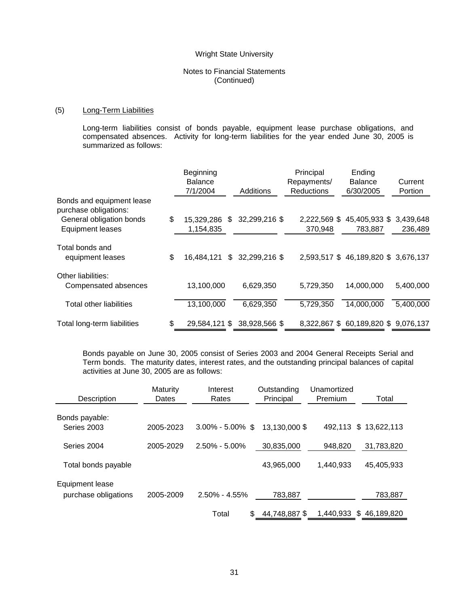## Notes to Financial Statements (Continued)

## (5) Long-Term Liabilities

Long-term liabilities consist of bonds payable, equipment lease purchase obligations, and compensated absences. Activity for long-term liabilities for the year ended June 30, 2005 is summarized as follows:

|                                                    | Beginning<br><b>Balance</b> |               | Principal<br>Repayments/ | Ending<br><b>Balance</b>           | Current   |
|----------------------------------------------------|-----------------------------|---------------|--------------------------|------------------------------------|-----------|
|                                                    | 7/1/2004                    | Additions     | <b>Reductions</b>        | 6/30/2005                          | Portion   |
| Bonds and equipment lease<br>purchase obligations: |                             |               |                          |                                    |           |
| General obligation bonds                           | \$<br>15,329,286 \$         | 32,299,216 \$ | 2,222,569 \$             | 45,405,933 \$                      | 3,439,648 |
| <b>Equipment leases</b>                            | 1,154,835                   |               | 370,948                  | 783,887                            | 236,489   |
|                                                    |                             |               |                          |                                    |           |
| Total bonds and<br>equipment leases                | \$<br>16,484,121<br>\$.     | 32,299,216 \$ |                          | 2,593,517 \$46,189,820 \$3,676,137 |           |
| Other liabilities:<br>Compensated absences         | 13,100,000                  | 6,629,350     | 5,729,350                | 14,000,000                         | 5,400,000 |
| Total other liabilities                            | 13,100,000                  | 6,629,350     | 5,729,350                | 14,000,000                         | 5,400,000 |
| Total long-term liabilities                        | \$<br>29,584,121 \$         | 38,928,566 \$ |                          | 8,322,867 \$60,189,820 \$9,076,137 |           |

Bonds payable on June 30, 2005 consist of Series 2003 and 2004 General Receipts Serial and Term bonds. The maturity dates, interest rates, and the outstanding principal balances of capital activities at June 30, 2005 are as follows:

| Description                             | Maturity<br>Dates | Interest<br>Rates    | Outstanding<br>Principal | Unamortized<br>Premium | Total                 |
|-----------------------------------------|-------------------|----------------------|--------------------------|------------------------|-----------------------|
| Bonds payable:<br>Series 2003           | 2005-2023         | $3.00\% - 5.00\%$ \$ | 13,130,000 \$            |                        | 492,113 \$ 13,622,113 |
| Series 2004                             | 2005-2029         | $2.50\% - 5.00\%$    | 30,835,000               | 948.820                | 31,783,820            |
| Total bonds payable                     |                   |                      | 43,965,000               | 1.440.933              | 45.405.933            |
| Equipment lease<br>purchase obligations | 2005-2009         | $2.50\% - 4.55\%$    | 783,887                  |                        | 783,887               |
|                                         |                   | Total<br>S           | 44,748,887 \$            | 1.440.933              | \$46.189.820          |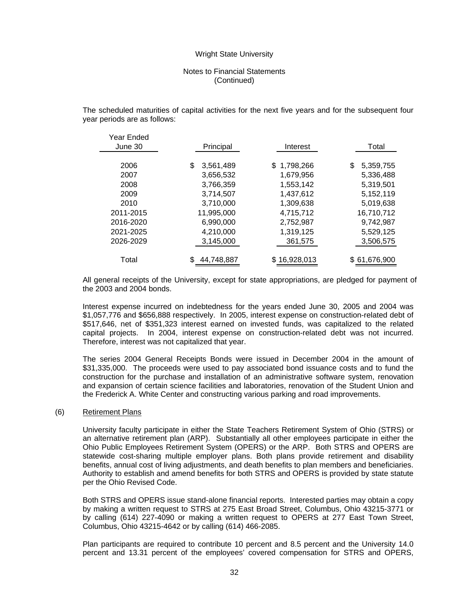## Notes to Financial Statements (Continued)

The scheduled maturities of capital activities for the next five years and for the subsequent four year periods are as follows:

| Year Ended |                 |              |                 |
|------------|-----------------|--------------|-----------------|
| June 30    | Principal       | Interest     | Total           |
|            |                 |              |                 |
| 2006       | 3,561,489<br>\$ | \$1,798,266  | 5,359,755<br>\$ |
| 2007       | 3,656,532       | 1,679,956    | 5,336,488       |
| 2008       | 3,766,359       | 1,553,142    | 5,319,501       |
| 2009       | 3,714,507       | 1,437,612    | 5,152,119       |
| 2010       | 3.710.000       | 1,309,638    | 5,019,638       |
| 2011-2015  | 11,995,000      | 4,715,712    | 16,710,712      |
| 2016-2020  | 6,990,000       | 2,752,987    | 9,742,987       |
| 2021-2025  | 4,210,000       | 1,319,125    | 5,529,125       |
| 2026-2029  | 3,145,000       | 361,575      | 3,506,575       |
|            |                 |              |                 |
| Total      | 44,748,887      | \$16,928,013 | \$61,676,900    |

All general receipts of the University, except for state appropriations, are pledged for payment of the 2003 and 2004 bonds.

Interest expense incurred on indebtedness for the years ended June 30, 2005 and 2004 was \$1,057,776 and \$656,888 respectively. In 2005, interest expense on construction-related debt of \$517,646, net of \$351,323 interest earned on invested funds, was capitalized to the related capital projects. In 2004, interest expense on construction-related debt was not incurred. Therefore, interest was not capitalized that year.

The series 2004 General Receipts Bonds were issued in December 2004 in the amount of \$31,335,000. The proceeds were used to pay associated bond issuance costs and to fund the construction for the purchase and installation of an administrative software system, renovation and expansion of certain science facilities and laboratories, renovation of the Student Union and the Frederick A. White Center and constructing various parking and road improvements.

#### (6) Retirement Plans

 $y \rightarrow y$   $y = 1$ 

University faculty participate in either the State Teachers Retirement System of Ohio (STRS) or an alternative retirement plan (ARP). Substantially all other employees participate in either the Ohio Public Employees Retirement System (OPERS) or the ARP. Both STRS and OPERS are statewide cost-sharing multiple employer plans. Both plans provide retirement and disability benefits, annual cost of living adjustments, and death benefits to plan members and beneficiaries. Authority to establish and amend benefits for both STRS and OPERS is provided by state statute per the Ohio Revised Code.

Both STRS and OPERS issue stand-alone financial reports. Interested parties may obtain a copy by making a written request to STRS at 275 East Broad Street, Columbus, Ohio 43215-3771 or by calling (614) 227-4090 or making a written request to OPERS at 277 East Town Street, Columbus, Ohio 43215-4642 or by calling (614) 466-2085.

Plan participants are required to contribute 10 percent and 8.5 percent and the University 14.0 percent and 13.31 percent of the employees' covered compensation for STRS and OPERS,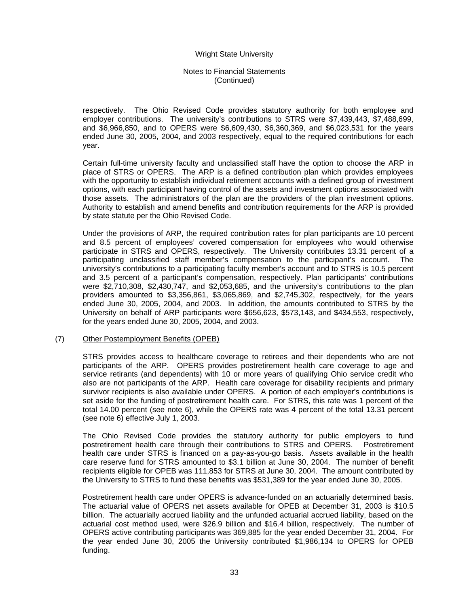## Notes to Financial Statements (Continued)

respectively. The Ohio Revised Code provides statutory authority for both employee and employer contributions. The university's contributions to STRS were \$7,439,443, \$7,488,699, and \$6,966,850, and to OPERS were \$6,609,430, \$6,360,369, and \$6,023,531 for the years ended June 30, 2005, 2004, and 2003 respectively, equal to the required contributions for each year.

Certain full-time university faculty and unclassified staff have the option to choose the ARP in place of STRS or OPERS. The ARP is a defined contribution plan which provides employees with the opportunity to establish individual retirement accounts with a defined group of investment options, with each participant having control of the assets and investment options associated with those assets. The administrators of the plan are the providers of the plan investment options. Authority to establish and amend benefits and contribution requirements for the ARP is provided by state statute per the Ohio Revised Code.

Under the provisions of ARP, the required contribution rates for plan participants are 10 percent and 8.5 percent of employees' covered compensation for employees who would otherwise participate in STRS and OPERS, respectively. The University contributes 13.31 percent of a participating unclassified staff member's compensation to the participant's account. The university's contributions to a participating faculty member's account and to STRS is 10.5 percent and 3.5 percent of a participant's compensation, respectively. Plan participants' contributions were \$2,710,308, \$2,430,747, and \$2,053,685, and the university's contributions to the plan providers amounted to \$3,356,861, \$3,065,869, and \$2,745,302, respectively, for the years ended June 30, 2005, 2004, and 2003. In addition, the amounts contributed to STRS by the University on behalf of ARP participants were \$656,623, \$573,143, and \$434,553, respectively, for the years ended June 30, 2005, 2004, and 2003.

#### (7) Other Postemployment Benefits (OPEB)

STRS provides access to healthcare coverage to retirees and their dependents who are not participants of the ARP. OPERS provides postretirement health care coverage to age and service retirants (and dependents) with 10 or more years of qualifying Ohio service credit who also are not participants of the ARP. Health care coverage for disability recipients and primary survivor recipients is also available under OPERS. A portion of each employer's contributions is set aside for the funding of postretirement health care. For STRS, this rate was 1 percent of the total 14.00 percent (see note 6), while the OPERS rate was 4 percent of the total 13.31 percent (see note 6) effective July 1, 2003.

The Ohio Revised Code provides the statutory authority for public employers to fund postretirement health care through their contributions to STRS and OPERS. Postretirement health care under STRS is financed on a pay-as-you-go basis. Assets available in the health care reserve fund for STRS amounted to \$3.1 billion at June 30, 2004. The number of benefit recipients eligible for OPEB was 111,853 for STRS at June 30, 2004. The amount contributed by the University to STRS to fund these benefits was \$531,389 for the year ended June 30, 2005.

Postretirement health care under OPERS is advance-funded on an actuarially determined basis. The actuarial value of OPERS net assets available for OPEB at December 31, 2003 is \$10.5 billion. The actuarially accrued liability and the unfunded actuarial accrued liability, based on the actuarial cost method used, were \$26.9 billion and \$16.4 billion, respectively. The number of OPERS active contributing participants was 369,885 for the year ended December 31, 2004. For the year ended June 30, 2005 the University contributed \$1,986,134 to OPERS for OPEB funding.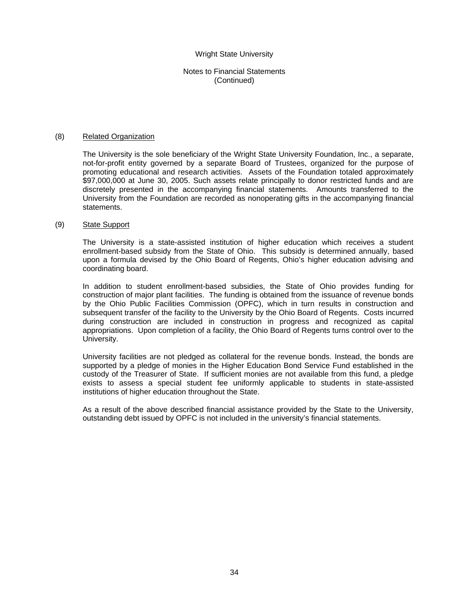## Notes to Financial Statements (Continued)

#### (8) Related Organization

The University is the sole beneficiary of the Wright State University Foundation, Inc., a separate, not-for-profit entity governed by a separate Board of Trustees, organized for the purpose of promoting educational and research activities. Assets of the Foundation totaled approximately \$97,000,000 at June 30, 2005. Such assets relate principally to donor restricted funds and are discretely presented in the accompanying financial statements. Amounts transferred to the University from the Foundation are recorded as nonoperating gifts in the accompanying financial statements.

#### (9) State Support

The University is a state-assisted institution of higher education which receives a student enrollment-based subsidy from the State of Ohio. This subsidy is determined annually, based upon a formula devised by the Ohio Board of Regents, Ohio's higher education advising and coordinating board.

In addition to student enrollment-based subsidies, the State of Ohio provides funding for construction of major plant facilities. The funding is obtained from the issuance of revenue bonds by the Ohio Public Facilities Commission (OPFC), which in turn results in construction and subsequent transfer of the facility to the University by the Ohio Board of Regents. Costs incurred during construction are included in construction in progress and recognized as capital appropriations. Upon completion of a facility, the Ohio Board of Regents turns control over to the University.

University facilities are not pledged as collateral for the revenue bonds. Instead, the bonds are supported by a pledge of monies in the Higher Education Bond Service Fund established in the custody of the Treasurer of State. If sufficient monies are not available from this fund, a pledge exists to assess a special student fee uniformly applicable to students in state-assisted institutions of higher education throughout the State.

As a result of the above described financial assistance provided by the State to the University, outstanding debt issued by OPFC is not included in the university's financial statements.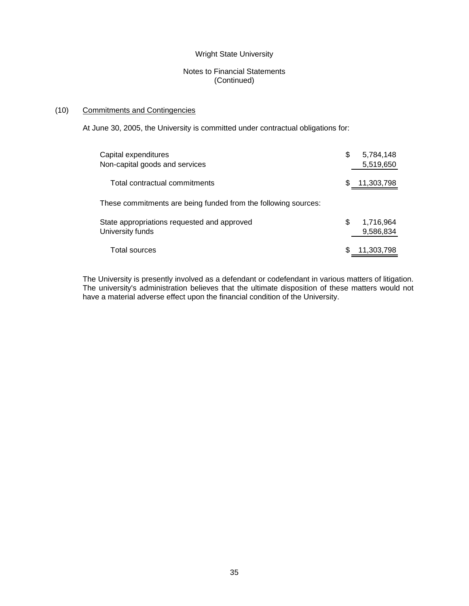## Notes to Financial Statements (Continued)

## (10) Commitments and Contingencies

At June 30, 2005, the University is committed under contractual obligations for:

| Capital expenditures<br>Non-capital goods and services          | S | 5,784,148<br>5,519,650 |
|-----------------------------------------------------------------|---|------------------------|
| Total contractual commitments                                   | S | 11,303,798             |
| These commitments are being funded from the following sources:  |   |                        |
| State appropriations requested and approved<br>University funds | S | 1,716,964<br>9,586,834 |
| Total sources                                                   |   | 11,303,798             |

The University is presently involved as a defendant or codefendant in various matters of litigation. The university's administration believes that the ultimate disposition of these matters would not have a material adverse effect upon the financial condition of the University.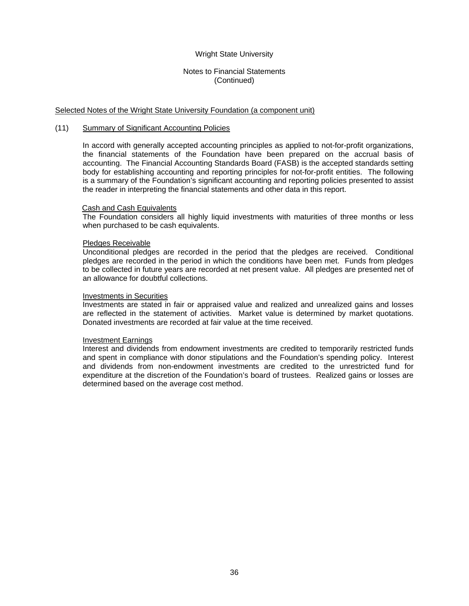## Notes to Financial Statements (Continued)

#### Selected Notes of the Wright State University Foundation (a component unit)

#### (11) Summary of Significant Accounting Policies

In accord with generally accepted accounting principles as applied to not-for-profit organizations, the financial statements of the Foundation have been prepared on the accrual basis of accounting. The Financial Accounting Standards Board (FASB) is the accepted standards setting body for establishing accounting and reporting principles for not-for-profit entities. The following is a summary of the Foundation's significant accounting and reporting policies presented to assist the reader in interpreting the financial statements and other data in this report.

#### Cash and Cash Equivalents

The Foundation considers all highly liquid investments with maturities of three months or less when purchased to be cash equivalents.

#### Pledges Receivable

Unconditional pledges are recorded in the period that the pledges are received. Conditional pledges are recorded in the period in which the conditions have been met. Funds from pledges to be collected in future years are recorded at net present value. All pledges are presented net of an allowance for doubtful collections.

#### Investments in Securities

Investments are stated in fair or appraised value and realized and unrealized gains and losses are reflected in the statement of activities. Market value is determined by market quotations. Donated investments are recorded at fair value at the time received.

#### Investment Earnings

Interest and dividends from endowment investments are credited to temporarily restricted funds and spent in compliance with donor stipulations and the Foundation's spending policy. Interest and dividends from non-endowment investments are credited to the unrestricted fund for expenditure at the discretion of the Foundation's board of trustees. Realized gains or losses are determined based on the average cost method.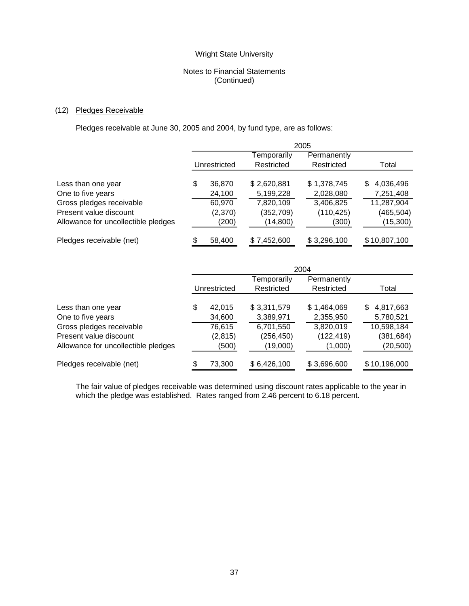## Notes to Financial Statements (Continued)

## (12) Pledges Receivable

Pledges receivable at June 30, 2005 and 2004, by fund type, are as follows:

|                                     | 2005         |         |             |             |                |
|-------------------------------------|--------------|---------|-------------|-------------|----------------|
|                                     |              |         | Temporarily | Permanently |                |
|                                     | Unrestricted |         | Restricted  | Restricted  | Total          |
| Less than one year                  | \$           | 36,870  | \$2,620,881 | \$1,378,745 | 4,036,496<br>S |
| One to five years                   |              | 24,100  | 5,199,228   | 2,028,080   | 7,251,408      |
| Gross pledges receivable            |              | 60,970  | 7,820,109   | 3,406,825   | 11,287,904     |
| Present value discount              |              | (2,370) | (352,709)   | (110, 425)  | (465,504)      |
| Allowance for uncollectible pledges |              | (200)   | (14, 800)   | (300)       | (15,300)       |
| Pledges receivable (net)            |              | 58,400  | \$7,452,600 | \$3,296,100 | \$10,807,100   |

|                                     | 2004         |          |             |             |                 |
|-------------------------------------|--------------|----------|-------------|-------------|-----------------|
|                                     |              |          | Temporarily | Permanently |                 |
|                                     | Unrestricted |          | Restricted  | Restricted  | Total           |
|                                     |              |          |             |             |                 |
| Less than one year                  | \$           | 42.015   | \$3,311,579 | \$1,464,069 | 4,817,663<br>S. |
| One to five years                   |              | 34,600   | 3,389,971   | 2,355,950   | 5,780,521       |
| Gross pledges receivable            |              | 76,615   | 6,701,550   | 3,820,019   | 10,598,184      |
| Present value discount              |              | (2, 815) | (256, 450)  | (122, 419)  | (381, 684)      |
| Allowance for uncollectible pledges |              | (500)    | (19,000)    | (1,000)     | (20, 500)       |
| Pledges receivable (net)            | S            | 73,300   | \$6,426,100 | \$3,696,600 | \$10,196,000    |

 The fair value of pledges receivable was determined using discount rates applicable to the year in which the pledge was established. Rates ranged from 2.46 percent to 6.18 percent.